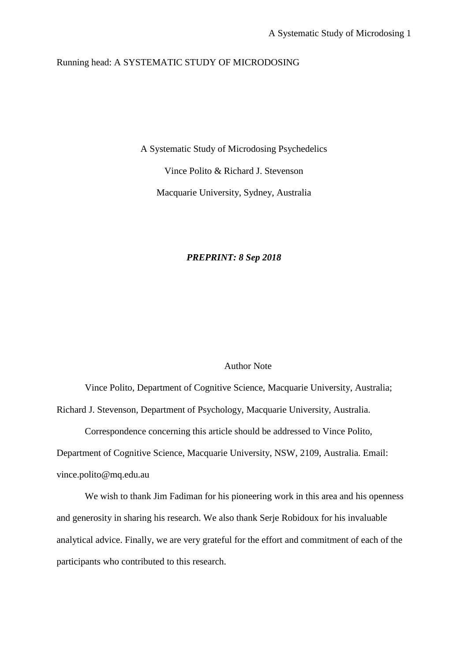# Running head: A SYSTEMATIC STUDY OF MICRODOSING

A Systematic Study of Microdosing Psychedelics Vince Polito & Richard J. Stevenson

Macquarie University, Sydney, Australia

# *PREPRINT: 8 Sep 2018*

# Author Note

Vince Polito, Department of Cognitive Science, Macquarie University, Australia; Richard J. Stevenson, Department of Psychology, Macquarie University, Australia.

Correspondence concerning this article should be addressed to Vince Polito,

Department of Cognitive Science, Macquarie University, NSW, 2109, Australia. Email: [vince.polito@mq.edu.au](mailto:vince.polito@mq.edu.au)

We wish to thank Jim Fadiman for his pioneering work in this area and his openness and generosity in sharing his research. We also thank Serje Robidoux for his invaluable analytical advice. Finally, we are very grateful for the effort and commitment of each of the participants who contributed to this research.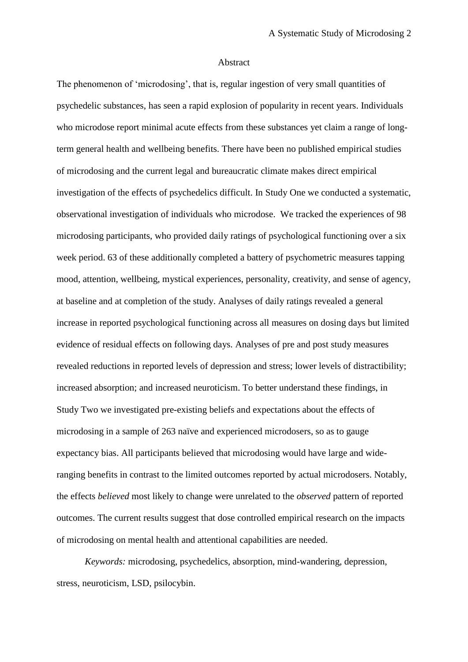#### Abstract

The phenomenon of 'microdosing', that is, regular ingestion of very small quantities of psychedelic substances, has seen a rapid explosion of popularity in recent years. Individuals who microdose report minimal acute effects from these substances yet claim a range of longterm general health and wellbeing benefits. There have been no published empirical studies of microdosing and the current legal and bureaucratic climate makes direct empirical investigation of the effects of psychedelics difficult. In Study One we conducted a systematic, observational investigation of individuals who microdose. We tracked the experiences of 98 microdosing participants, who provided daily ratings of psychological functioning over a six week period. 63 of these additionally completed a battery of psychometric measures tapping mood, attention, wellbeing, mystical experiences, personality, creativity, and sense of agency, at baseline and at completion of the study. Analyses of daily ratings revealed a general increase in reported psychological functioning across all measures on dosing days but limited evidence of residual effects on following days. Analyses of pre and post study measures revealed reductions in reported levels of depression and stress; lower levels of distractibility; increased absorption; and increased neuroticism. To better understand these findings, in Study Two we investigated pre-existing beliefs and expectations about the effects of microdosing in a sample of 263 naïve and experienced microdosers, so as to gauge expectancy bias. All participants believed that microdosing would have large and wideranging benefits in contrast to the limited outcomes reported by actual microdosers. Notably, the effects *believed* most likely to change were unrelated to the *observed* pattern of reported outcomes. The current results suggest that dose controlled empirical research on the impacts of microdosing on mental health and attentional capabilities are needed.

*Keywords:* microdosing, psychedelics, absorption, mind-wandering, depression, stress, neuroticism, LSD, psilocybin.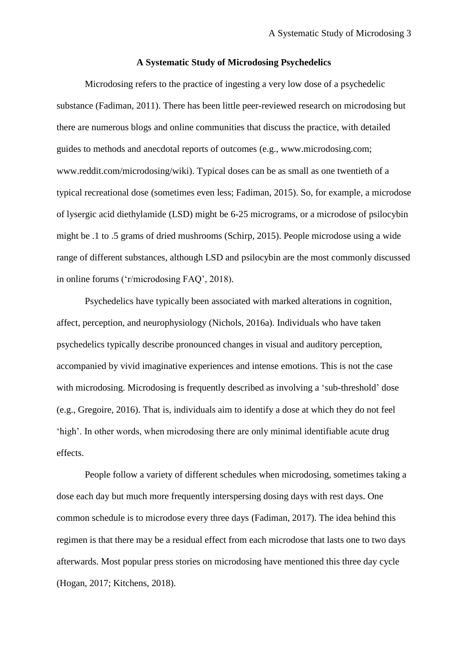## **A Systematic Study of Microdosing Psychedelics**

Microdosing refers to the practice of ingesting a very low dose of a psychedelic substance (Fadiman, 2011). There has been little peer-reviewed research on microdosing but there are numerous blogs and online communities that discuss the practice, with detailed guides to methods and anecdotal reports of outcomes (e.g., www.microdosing.com; www.reddit.com/microdosing/wiki). Typical doses can be as small as one twentieth of a typical recreational dose (sometimes even less; Fadiman, 2015). So, for example, a microdose of lysergic acid diethylamide (LSD) might be 6-25 micrograms, or a microdose of psilocybin might be .1 to .5 grams of dried mushrooms (Schirp, 2015). People microdose using a wide range of different substances, although LSD and psilocybin are the most commonly discussed in online forums ('r/microdosing FAQ', 2018).

Psychedelics have typically been associated with marked alterations in cognition, affect, perception, and neurophysiology (Nichols, 2016a). Individuals who have taken psychedelics typically describe pronounced changes in visual and auditory perception, accompanied by vivid imaginative experiences and intense emotions. This is not the case with microdosing. Microdosing is frequently described as involving a 'sub-threshold' dose (e.g., Gregoire, 2016). That is, individuals aim to identify a dose at which they do not feel 'high'. In other words, when microdosing there are only minimal identifiable acute drug effects.

People follow a variety of different schedules when microdosing, sometimes taking a dose each day but much more frequently interspersing dosing days with rest days. One common schedule is to microdose every three days (Fadiman, 2017). The idea behind this regimen is that there may be a residual effect from each microdose that lasts one to two days afterwards. Most popular press stories on microdosing have mentioned this three day cycle (Hogan, 2017; Kitchens, 2018).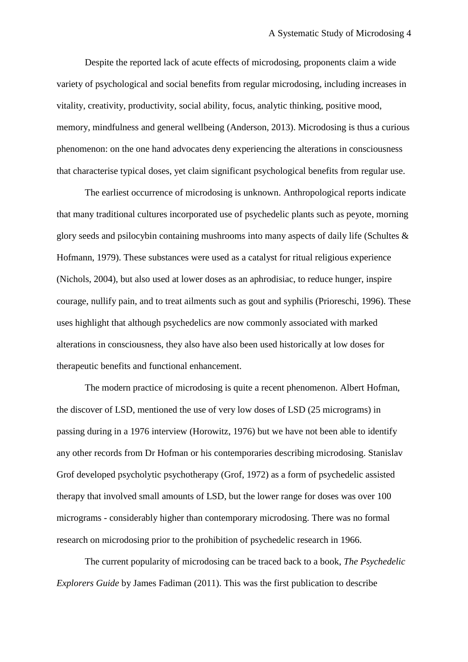Despite the reported lack of acute effects of microdosing, proponents claim a wide variety of psychological and social benefits from regular microdosing, including increases in vitality, creativity, productivity, social ability, focus, analytic thinking, positive mood, memory, mindfulness and general wellbeing (Anderson, 2013). Microdosing is thus a curious phenomenon: on the one hand advocates deny experiencing the alterations in consciousness that characterise typical doses, yet claim significant psychological benefits from regular use.

The earliest occurrence of microdosing is unknown. Anthropological reports indicate that many traditional cultures incorporated use of psychedelic plants such as peyote, morning glory seeds and psilocybin containing mushrooms into many aspects of daily life (Schultes & Hofmann, 1979). These substances were used as a catalyst for ritual religious experience (Nichols, 2004), but also used at lower doses as an aphrodisiac, to reduce hunger, inspire courage, nullify pain, and to treat ailments such as gout and syphilis (Prioreschi, 1996). These uses highlight that although psychedelics are now commonly associated with marked alterations in consciousness, they also have also been used historically at low doses for therapeutic benefits and functional enhancement.

The modern practice of microdosing is quite a recent phenomenon. Albert Hofman, the discover of LSD, mentioned the use of very low doses of LSD (25 micrograms) in passing during in a 1976 interview (Horowitz, 1976) but we have not been able to identify any other records from Dr Hofman or his contemporaries describing microdosing. Stanislav Grof developed psycholytic psychotherapy (Grof, 1972) as a form of psychedelic assisted therapy that involved small amounts of LSD, but the lower range for doses was over 100 micrograms - considerably higher than contemporary microdosing. There was no formal research on microdosing prior to the prohibition of psychedelic research in 1966.

The current popularity of microdosing can be traced back to a book, *The Psychedelic Explorers Guide* by James Fadiman (2011). This was the first publication to describe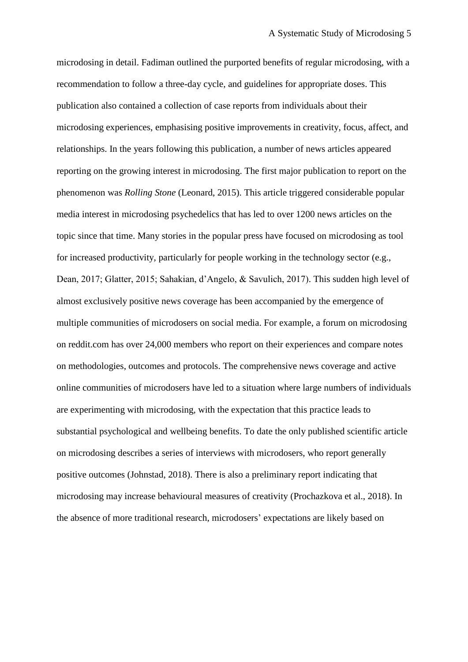microdosing in detail. Fadiman outlined the purported benefits of regular microdosing, with a recommendation to follow a three-day cycle, and guidelines for appropriate doses. This publication also contained a collection of case reports from individuals about their microdosing experiences, emphasising positive improvements in creativity, focus, affect, and relationships. In the years following this publication, a number of news articles appeared reporting on the growing interest in microdosing. The first major publication to report on the phenomenon was *Rolling Stone* (Leonard, 2015). This article triggered considerable popular media interest in microdosing psychedelics that has led to over 1200 news articles on the topic since that time. Many stories in the popular press have focused on microdosing as tool for increased productivity, particularly for people working in the technology sector (e.g., Dean, 2017; Glatter, 2015; Sahakian, d'Angelo, & Savulich, 2017). This sudden high level of almost exclusively positive news coverage has been accompanied by the emergence of multiple communities of microdosers on social media. For example, a forum on microdosing on reddit.com has over 24,000 members who report on their experiences and compare notes on methodologies, outcomes and protocols. The comprehensive news coverage and active online communities of microdosers have led to a situation where large numbers of individuals are experimenting with microdosing, with the expectation that this practice leads to substantial psychological and wellbeing benefits. To date the only published scientific article on microdosing describes a series of interviews with microdosers, who report generally positive outcomes (Johnstad, 2018). There is also a preliminary report indicating that microdosing may increase behavioural measures of creativity (Prochazkova et al., 2018). In the absence of more traditional research, microdosers' expectations are likely based on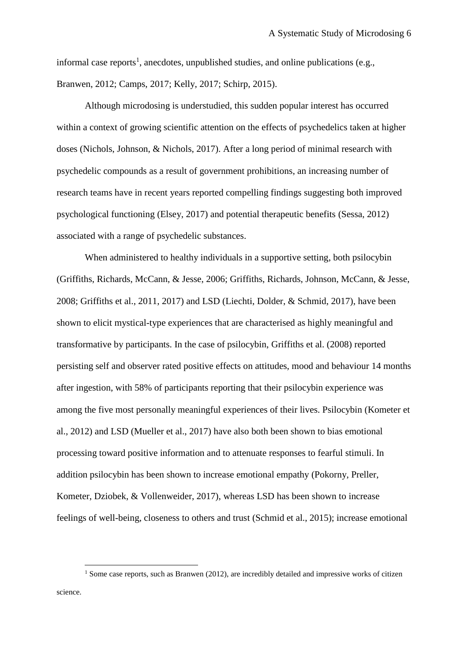informal case reports<sup>1</sup>, anecdotes, unpublished studies, and online publications (e.g., Branwen, 2012; Camps, 2017; Kelly, 2017; Schirp, 2015).

Although microdosing is understudied, this sudden popular interest has occurred within a context of growing scientific attention on the effects of psychedelics taken at higher doses (Nichols, Johnson, & Nichols, 2017). After a long period of minimal research with psychedelic compounds as a result of government prohibitions, an increasing number of research teams have in recent years reported compelling findings suggesting both improved psychological functioning (Elsey, 2017) and potential therapeutic benefits (Sessa, 2012) associated with a range of psychedelic substances.

When administered to healthy individuals in a supportive setting, both psilocybin (Griffiths, Richards, McCann, & Jesse, 2006; Griffiths, Richards, Johnson, McCann, & Jesse, 2008; Griffiths et al., 2011, 2017) and LSD (Liechti, Dolder, & Schmid, 2017), have been shown to elicit mystical-type experiences that are characterised as highly meaningful and transformative by participants. In the case of psilocybin, Griffiths et al. (2008) reported persisting self and observer rated positive effects on attitudes, mood and behaviour 14 months after ingestion, with 58% of participants reporting that their psilocybin experience was among the five most personally meaningful experiences of their lives. Psilocybin (Kometer et al., 2012) and LSD (Mueller et al., 2017) have also both been shown to bias emotional processing toward positive information and to attenuate responses to fearful stimuli. In addition psilocybin has been shown to increase emotional empathy (Pokorny, Preller, Kometer, Dziobek, & Vollenweider, 2017), whereas LSD has been shown to increase feelings of well-being, closeness to others and trust (Schmid et al., 2015); increase emotional

1

<sup>&</sup>lt;sup>1</sup> Some case reports, such as Branwen (2012), are incredibly detailed and impressive works of citizen science.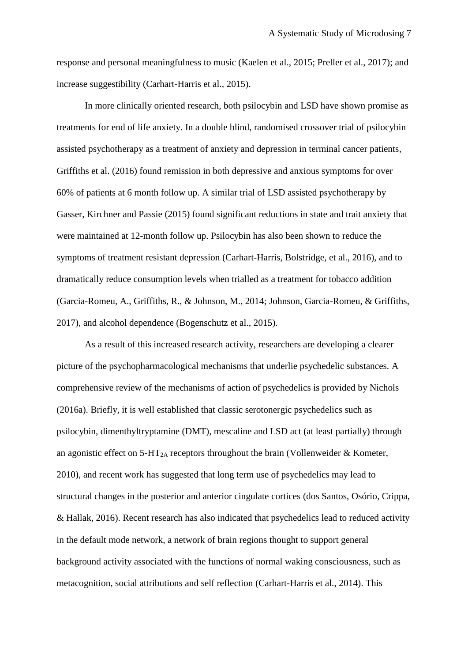response and personal meaningfulness to music (Kaelen et al., 2015; Preller et al., 2017); and increase suggestibility (Carhart-Harris et al., 2015).

In more clinically oriented research, both psilocybin and LSD have shown promise as treatments for end of life anxiety. In a double blind, randomised crossover trial of psilocybin assisted psychotherapy as a treatment of anxiety and depression in terminal cancer patients, Griffiths et al. (2016) found remission in both depressive and anxious symptoms for over 60% of patients at 6 month follow up. A similar trial of LSD assisted psychotherapy by Gasser, Kirchner and Passie (2015) found significant reductions in state and trait anxiety that were maintained at 12-month follow up. Psilocybin has also been shown to reduce the symptoms of treatment resistant depression (Carhart-Harris, Bolstridge, et al., 2016), and to dramatically reduce consumption levels when trialled as a treatment for tobacco addition (Garcia-Romeu, A., Griffiths, R., & Johnson, M., 2014; Johnson, Garcia-Romeu, & Griffiths, 2017), and alcohol dependence (Bogenschutz et al., 2015).

As a result of this increased research activity, researchers are developing a clearer picture of the psychopharmacological mechanisms that underlie psychedelic substances. A comprehensive review of the mechanisms of action of psychedelics is provided by Nichols (2016a). Briefly, it is well established that classic serotonergic psychedelics such as psilocybin, dimenthyltryptamine (DMT), mescaline and LSD act (at least partially) through an agonistic effect on  $5-HT_{2A}$  receptors throughout the brain (Vollenweider & Kometer, 2010), and recent work has suggested that long term use of psychedelics may lead to structural changes in the posterior and anterior cingulate cortices (dos Santos, Osório, Crippa, & Hallak, 2016). Recent research has also indicated that psychedelics lead to reduced activity in the default mode network, a network of brain regions thought to support general background activity associated with the functions of normal waking consciousness, such as metacognition, social attributions and self reflection (Carhart-Harris et al., 2014). This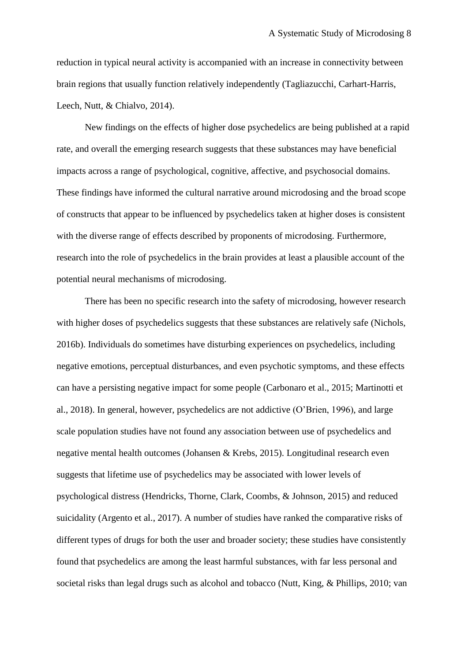reduction in typical neural activity is accompanied with an increase in connectivity between brain regions that usually function relatively independently (Tagliazucchi, Carhart-Harris, Leech, Nutt, & Chialvo, 2014).

New findings on the effects of higher dose psychedelics are being published at a rapid rate, and overall the emerging research suggests that these substances may have beneficial impacts across a range of psychological, cognitive, affective, and psychosocial domains. These findings have informed the cultural narrative around microdosing and the broad scope of constructs that appear to be influenced by psychedelics taken at higher doses is consistent with the diverse range of effects described by proponents of microdosing. Furthermore, research into the role of psychedelics in the brain provides at least a plausible account of the potential neural mechanisms of microdosing.

There has been no specific research into the safety of microdosing, however research with higher doses of psychedelics suggests that these substances are relatively safe (Nichols, 2016b). Individuals do sometimes have disturbing experiences on psychedelics, including negative emotions, perceptual disturbances, and even psychotic symptoms, and these effects can have a persisting negative impact for some people (Carbonaro et al., 2015; Martinotti et al., 2018). In general, however, psychedelics are not addictive (O'Brien, 1996), and large scale population studies have not found any association between use of psychedelics and negative mental health outcomes (Johansen & Krebs, 2015). Longitudinal research even suggests that lifetime use of psychedelics may be associated with lower levels of psychological distress (Hendricks, Thorne, Clark, Coombs, & Johnson, 2015) and reduced suicidality (Argento et al., 2017). A number of studies have ranked the comparative risks of different types of drugs for both the user and broader society; these studies have consistently found that psychedelics are among the least harmful substances, with far less personal and societal risks than legal drugs such as alcohol and tobacco (Nutt, King, & Phillips, 2010; van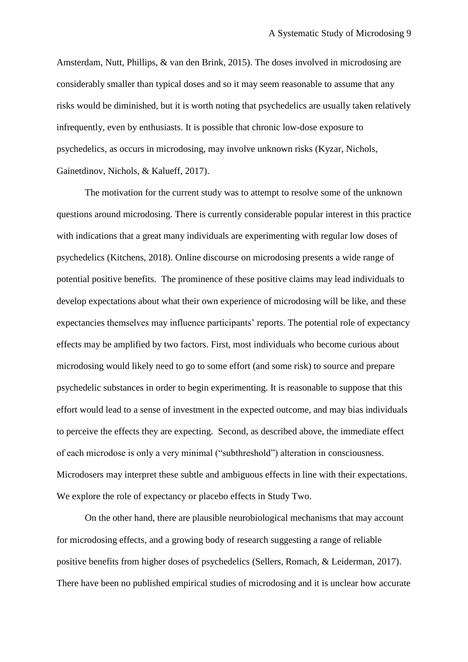Amsterdam, Nutt, Phillips, & van den Brink, 2015). The doses involved in microdosing are considerably smaller than typical doses and so it may seem reasonable to assume that any risks would be diminished, but it is worth noting that psychedelics are usually taken relatively infrequently, even by enthusiasts. It is possible that chronic low-dose exposure to psychedelics, as occurs in microdosing, may involve unknown risks (Kyzar, Nichols, Gainetdinov, Nichols, & Kalueff, 2017).

The motivation for the current study was to attempt to resolve some of the unknown questions around microdosing. There is currently considerable popular interest in this practice with indications that a great many individuals are experimenting with regular low doses of psychedelics (Kitchens, 2018). Online discourse on microdosing presents a wide range of potential positive benefits. The prominence of these positive claims may lead individuals to develop expectations about what their own experience of microdosing will be like, and these expectancies themselves may influence participants' reports. The potential role of expectancy effects may be amplified by two factors. First, most individuals who become curious about microdosing would likely need to go to some effort (and some risk) to source and prepare psychedelic substances in order to begin experimenting. It is reasonable to suppose that this effort would lead to a sense of investment in the expected outcome, and may bias individuals to perceive the effects they are expecting. Second, as described above, the immediate effect of each microdose is only a very minimal ("subthreshold") alteration in consciousness. Microdosers may interpret these subtle and ambiguous effects in line with their expectations. We explore the role of expectancy or placebo effects in Study Two.

On the other hand, there are plausible neurobiological mechanisms that may account for microdosing effects, and a growing body of research suggesting a range of reliable positive benefits from higher doses of psychedelics (Sellers, Romach, & Leiderman, 2017). There have been no published empirical studies of microdosing and it is unclear how accurate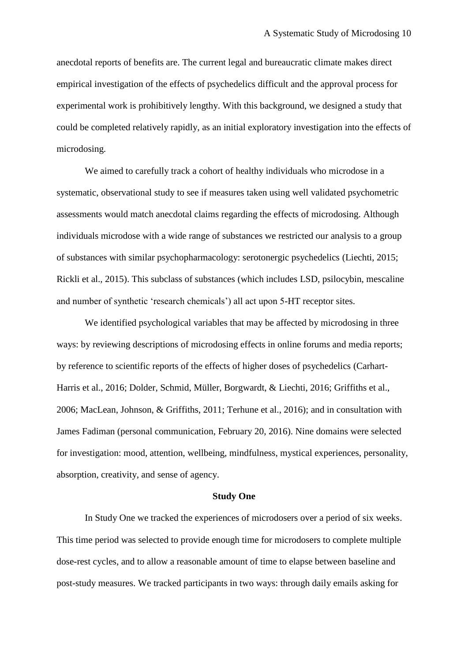anecdotal reports of benefits are. The current legal and bureaucratic climate makes direct empirical investigation of the effects of psychedelics difficult and the approval process for experimental work is prohibitively lengthy. With this background, we designed a study that could be completed relatively rapidly, as an initial exploratory investigation into the effects of microdosing.

We aimed to carefully track a cohort of healthy individuals who microdose in a systematic, observational study to see if measures taken using well validated psychometric assessments would match anecdotal claims regarding the effects of microdosing. Although individuals microdose with a wide range of substances we restricted our analysis to a group of substances with similar psychopharmacology: serotonergic psychedelics (Liechti, 2015; Rickli et al., 2015). This subclass of substances (which includes LSD, psilocybin, mescaline and number of synthetic 'research chemicals') all act upon 5-HT receptor sites.

We identified psychological variables that may be affected by microdosing in three ways: by reviewing descriptions of microdosing effects in online forums and media reports; by reference to scientific reports of the effects of higher doses of psychedelics (Carhart-Harris et al., 2016; Dolder, Schmid, Müller, Borgwardt, & Liechti, 2016; Griffiths et al., 2006; MacLean, Johnson, & Griffiths, 2011; Terhune et al., 2016); and in consultation with James Fadiman (personal communication, February 20, 2016). Nine domains were selected for investigation: mood, attention, wellbeing, mindfulness, mystical experiences, personality, absorption, creativity, and sense of agency.

## **Study One**

In Study One we tracked the experiences of microdosers over a period of six weeks. This time period was selected to provide enough time for microdosers to complete multiple dose-rest cycles, and to allow a reasonable amount of time to elapse between baseline and post-study measures. We tracked participants in two ways: through daily emails asking for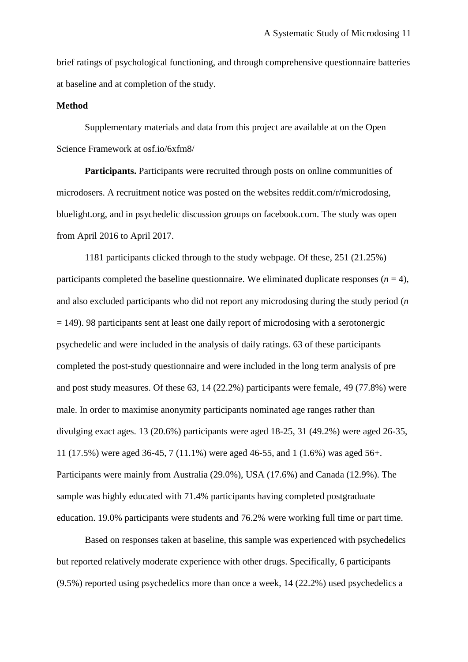brief ratings of psychological functioning, and through comprehensive questionnaire batteries at baseline and at completion of the study.

## **Method**

Supplementary materials and data from this project are available at on the Open Science Framework at osf.io/6xfm8/

**Participants.** Participants were recruited through posts on online communities of microdosers. A recruitment notice was posted on the websites reddit.com/r/microdosing, bluelight.org, and in psychedelic discussion groups on facebook.com. The study was open from April 2016 to April 2017.

1181 participants clicked through to the study webpage. Of these, 251 (21.25%) participants completed the baseline questionnaire. We eliminated duplicate responses  $(n = 4)$ , and also excluded participants who did not report any microdosing during the study period (*n*   $= 149$ ). 98 participants sent at least one daily report of microdosing with a serotonergic psychedelic and were included in the analysis of daily ratings. 63 of these participants completed the post-study questionnaire and were included in the long term analysis of pre and post study measures. Of these 63, 14 (22.2%) participants were female, 49 (77.8%) were male. In order to maximise anonymity participants nominated age ranges rather than divulging exact ages. 13 (20.6%) participants were aged 18-25, 31 (49.2%) were aged 26-35, 11 (17.5%) were aged 36-45, 7 (11.1%) were aged 46-55, and 1 (1.6%) was aged 56+. Participants were mainly from Australia (29.0%), USA (17.6%) and Canada (12.9%). The sample was highly educated with 71.4% participants having completed postgraduate education. 19.0% participants were students and 76.2% were working full time or part time.

Based on responses taken at baseline, this sample was experienced with psychedelics but reported relatively moderate experience with other drugs. Specifically, 6 participants (9.5%) reported using psychedelics more than once a week, 14 (22.2%) used psychedelics a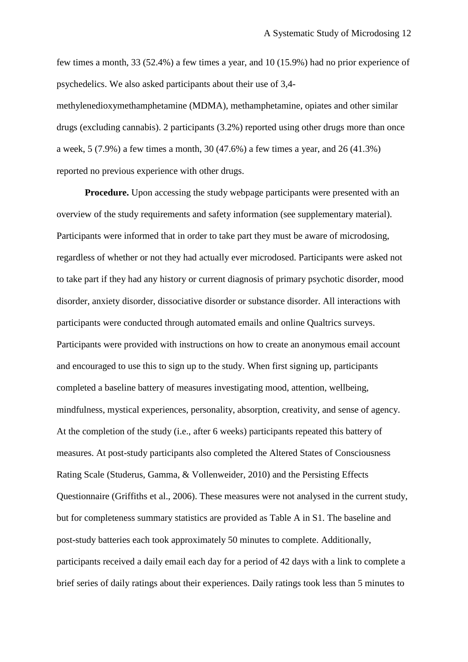few times a month, 33 (52.4%) a few times a year, and 10 (15.9%) had no prior experience of psychedelics. We also asked participants about their use of 3,4-

methylenedioxymethamphetamine (MDMA), methamphetamine, opiates and other similar drugs (excluding cannabis). 2 participants (3.2%) reported using other drugs more than once a week, 5 (7.9%) a few times a month, 30 (47.6%) a few times a year, and 26 (41.3%) reported no previous experience with other drugs.

**Procedure.** Upon accessing the study webpage participants were presented with an overview of the study requirements and safety information (see supplementary material). Participants were informed that in order to take part they must be aware of microdosing, regardless of whether or not they had actually ever microdosed. Participants were asked not to take part if they had any history or current diagnosis of primary psychotic disorder, mood disorder, anxiety disorder, dissociative disorder or substance disorder. All interactions with participants were conducted through automated emails and online Qualtrics surveys. Participants were provided with instructions on how to create an anonymous email account and encouraged to use this to sign up to the study. When first signing up, participants completed a baseline battery of measures investigating mood, attention, wellbeing, mindfulness, mystical experiences, personality, absorption, creativity, and sense of agency. At the completion of the study (i.e., after 6 weeks) participants repeated this battery of measures. At post-study participants also completed the Altered States of Consciousness Rating Scale (Studerus, Gamma, & Vollenweider, 2010) and the Persisting Effects Questionnaire (Griffiths et al., 2006). These measures were not analysed in the current study, but for completeness summary statistics are provided as Table A in S1. The baseline and post-study batteries each took approximately 50 minutes to complete. Additionally, participants received a daily email each day for a period of 42 days with a link to complete a brief series of daily ratings about their experiences. Daily ratings took less than 5 minutes to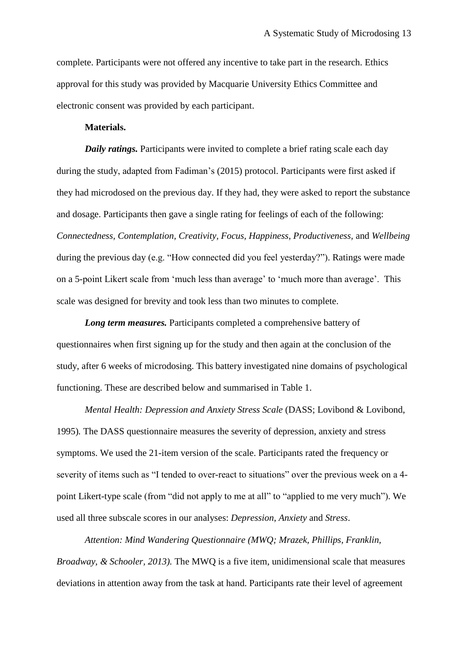complete. Participants were not offered any incentive to take part in the research. Ethics approval for this study was provided by Macquarie University Ethics Committee and electronic consent was provided by each participant.

## **Materials.**

*Daily ratings.* Participants were invited to complete a brief rating scale each day during the study, adapted from Fadiman's (2015) protocol. Participants were first asked if they had microdosed on the previous day. If they had, they were asked to report the substance and dosage. Participants then gave a single rating for feelings of each of the following: *Connectedness, Contemplation, Creativity, Focus, Happiness, Productiveness,* and *Wellbeing* during the previous day (e.g. "How connected did you feel yesterday?"). Ratings were made on a 5-point Likert scale from 'much less than average' to 'much more than average'. This scale was designed for brevity and took less than two minutes to complete.

*Long term measures.* Participants completed a comprehensive battery of questionnaires when first signing up for the study and then again at the conclusion of the study, after 6 weeks of microdosing. This battery investigated nine domains of psychological functioning. These are described below and summarised in Table 1.

*Mental Health: Depression and Anxiety Stress Scale* (DASS; Lovibond & Lovibond, 1995)*.* The DASS questionnaire measures the severity of depression, anxiety and stress symptoms. We used the 21-item version of the scale. Participants rated the frequency or severity of items such as "I tended to over-react to situations" over the previous week on a 4 point Likert-type scale (from "did not apply to me at all" to "applied to me very much"). We used all three subscale scores in our analyses: *Depression*, *Anxiety* and *Stress*.

*Attention: Mind Wandering Questionnaire (MWQ; Mrazek, Phillips, Franklin, Broadway, & Schooler, 2013).* The MWQ is a five item, unidimensional scale that measures deviations in attention away from the task at hand. Participants rate their level of agreement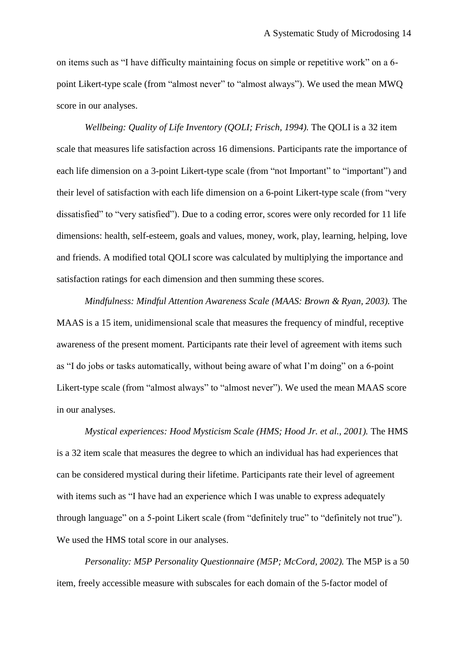on items such as "I have difficulty maintaining focus on simple or repetitive work" on a 6 point Likert-type scale (from "almost never" to "almost always"). We used the mean MWQ score in our analyses.

*Wellbeing: Quality of Life Inventory (QOLI; Frisch, 1994).* The QOLI is a 32 item scale that measures life satisfaction across 16 dimensions. Participants rate the importance of each life dimension on a 3-point Likert-type scale (from "not Important" to "important") and their level of satisfaction with each life dimension on a 6-point Likert-type scale (from "very dissatisfied" to "very satisfied"). Due to a coding error, scores were only recorded for 11 life dimensions: health, self-esteem, goals and values, money, work, play, learning, helping, love and friends. A modified total QOLI score was calculated by multiplying the importance and satisfaction ratings for each dimension and then summing these scores.

*Mindfulness: Mindful Attention Awareness Scale (MAAS: Brown & Ryan, 2003).* The MAAS is a 15 item, unidimensional scale that measures the frequency of mindful, receptive awareness of the present moment. Participants rate their level of agreement with items such as "I do jobs or tasks automatically, without being aware of what I'm doing" on a 6-point Likert-type scale (from "almost always" to "almost never"). We used the mean MAAS score in our analyses.

*Mystical experiences: Hood Mysticism Scale (HMS; Hood Jr. et al., 2001).* The HMS is a 32 item scale that measures the degree to which an individual has had experiences that can be considered mystical during their lifetime. Participants rate their level of agreement with items such as "I have had an experience which I was unable to express adequately through language" on a 5-point Likert scale (from "definitely true" to "definitely not true"). We used the HMS total score in our analyses.

*Personality: M5P Personality Questionnaire (M5P; McCord, 2002).* The M5P is a 50 item, freely accessible measure with subscales for each domain of the 5-factor model of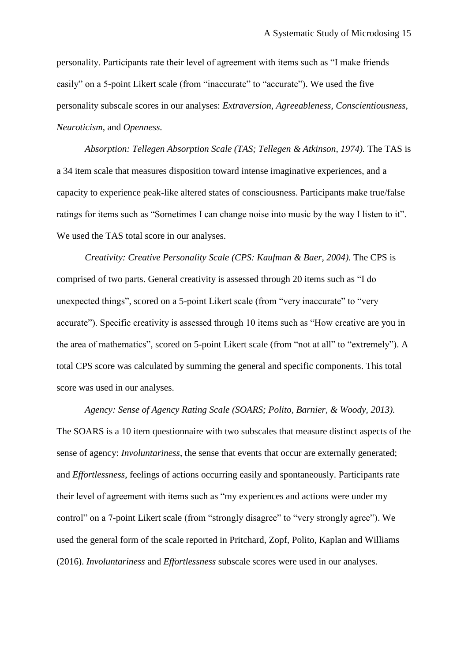personality. Participants rate their level of agreement with items such as "I make friends easily" on a 5-point Likert scale (from "inaccurate" to "accurate"). We used the five personality subscale scores in our analyses: *Extraversion*, *Agreeableness*, *Conscientiousness*, *Neuroticism*, and *Openness.*

*Absorption: Tellegen Absorption Scale (TAS; Tellegen & Atkinson, 1974).* The TAS is a 34 item scale that measures disposition toward intense imaginative experiences, and a capacity to experience peak-like altered states of consciousness. Participants make true/false ratings for items such as "Sometimes I can change noise into music by the way I listen to it". We used the TAS total score in our analyses.

*Creativity: Creative Personality Scale (CPS: Kaufman & Baer, 2004).* The CPS is comprised of two parts. General creativity is assessed through 20 items such as "I do unexpected things", scored on a 5-point Likert scale (from "very inaccurate" to "very accurate"). Specific creativity is assessed through 10 items such as "How creative are you in the area of mathematics", scored on 5-point Likert scale (from "not at all" to "extremely"). A total CPS score was calculated by summing the general and specific components. This total score was used in our analyses.

*Agency: Sense of Agency Rating Scale (SOARS; Polito, Barnier, & Woody, 2013).* The SOARS is a 10 item questionnaire with two subscales that measure distinct aspects of the sense of agency: *Involuntariness*, the sense that events that occur are externally generated; and *Effortlessness*, feelings of actions occurring easily and spontaneously. Participants rate their level of agreement with items such as "my experiences and actions were under my control" on a 7-point Likert scale (from "strongly disagree" to "very strongly agree"). We used the general form of the scale reported in Pritchard, Zopf, Polito, Kaplan and Williams (2016). *Involuntariness* and *Effortlessness* subscale scores were used in our analyses.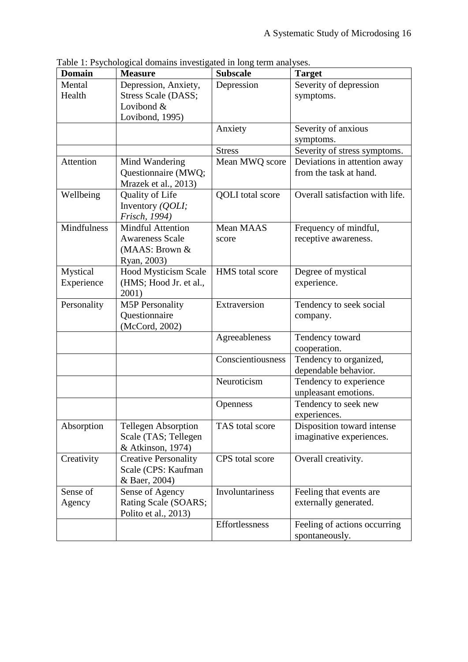| <b>Domain</b>          | raoie 1. I byenologiear domains myestig<br><b>Measure</b>                           | $\frac{1}{2}$ and $\frac{1}{2}$ $\frac{1}{2}$ $\frac{1}{2}$ $\frac{1}{2}$ $\frac{1}{2}$ $\frac{1}{2}$ $\frac{1}{2}$ $\frac{1}{2}$ $\frac{1}{2}$ $\frac{1}{2}$ $\frac{1}{2}$ $\frac{1}{2}$ $\frac{1}{2}$ $\frac{1}{2}$ $\frac{1}{2}$ $\frac{1}{2}$ $\frac{1}{2}$ $\frac{1}{2}$ $\frac{1}{2}$ $\frac{1}{2}$ $\frac{1}{2$<br><b>Subscale</b> | <b>Target</b>                                          |
|------------------------|-------------------------------------------------------------------------------------|-------------------------------------------------------------------------------------------------------------------------------------------------------------------------------------------------------------------------------------------------------------------------------------------------------------------------------------------|--------------------------------------------------------|
| Mental<br>Health       | Depression, Anxiety,<br>Stress Scale (DASS;<br>Lovibond &<br>Lovibond, 1995)        | Depression                                                                                                                                                                                                                                                                                                                                | Severity of depression<br>symptoms.                    |
|                        |                                                                                     | Anxiety                                                                                                                                                                                                                                                                                                                                   | Severity of anxious<br>symptoms.                       |
|                        |                                                                                     | <b>Stress</b>                                                                                                                                                                                                                                                                                                                             | Severity of stress symptoms.                           |
| Attention              | Mind Wandering<br>Questionnaire (MWQ;<br>Mrazek et al., 2013)                       | Mean MWQ score                                                                                                                                                                                                                                                                                                                            | Deviations in attention away<br>from the task at hand. |
| Wellbeing              | Quality of Life<br>Inventory (QOLI;<br>Frisch, 1994)                                | <b>QOLI</b> total score                                                                                                                                                                                                                                                                                                                   | Overall satisfaction with life.                        |
| Mindfulness            | <b>Mindful Attention</b><br><b>Awareness Scale</b><br>(MAAS: Brown &<br>Ryan, 2003) | Mean MAAS<br>score                                                                                                                                                                                                                                                                                                                        | Frequency of mindful,<br>receptive awareness.          |
| Mystical<br>Experience | Hood Mysticism Scale<br>(HMS; Hood Jr. et al.,<br>2001)                             | HMS total score                                                                                                                                                                                                                                                                                                                           | Degree of mystical<br>experience.                      |
| Personality            | <b>M5P Personality</b><br>Questionnaire<br>(McCord, 2002)                           | Extraversion                                                                                                                                                                                                                                                                                                                              | Tendency to seek social<br>company.                    |
|                        |                                                                                     | Agreeableness                                                                                                                                                                                                                                                                                                                             | Tendency toward<br>cooperation.                        |
|                        |                                                                                     | Conscientiousness                                                                                                                                                                                                                                                                                                                         | Tendency to organized,<br>dependable behavior.         |
|                        |                                                                                     | Neuroticism                                                                                                                                                                                                                                                                                                                               | Tendency to experience<br>unpleasant emotions.         |
|                        |                                                                                     | Openness                                                                                                                                                                                                                                                                                                                                  | Tendency to seek new<br>experiences.                   |
| Absorption             | <b>Tellegen Absorption</b><br>Scale (TAS; Tellegen<br>& Atkinson, 1974)             | TAS total score                                                                                                                                                                                                                                                                                                                           | Disposition toward intense<br>imaginative experiences. |
| Creativity             | <b>Creative Personality</b><br>Scale (CPS: Kaufman<br>& Baer, 2004)                 | CPS total score                                                                                                                                                                                                                                                                                                                           | Overall creativity.                                    |
| Sense of<br>Agency     | Sense of Agency<br>Rating Scale (SOARS;<br>Polito et al., 2013)                     | Involuntariness                                                                                                                                                                                                                                                                                                                           | Feeling that events are<br>externally generated.       |
|                        |                                                                                     | Effortlessness                                                                                                                                                                                                                                                                                                                            | Feeling of actions occurring<br>spontaneously.         |

Table 1: Psychological domains investigated in long term analyses.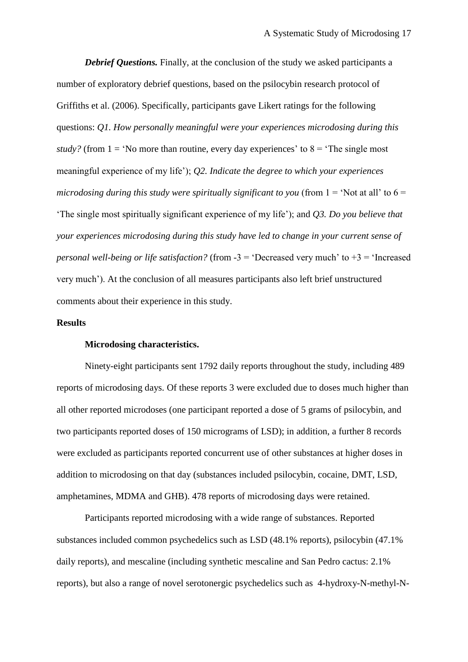**Debrief Questions.** Finally, at the conclusion of the study we asked participants a number of exploratory debrief questions, based on the psilocybin research protocol of Griffiths et al. (2006). Specifically, participants gave Likert ratings for the following questions: *Q1. How personally meaningful were your experiences microdosing during this study?* (from  $1 = 'No$  more than routine, every day experiences' to  $8 = 'The single most$ meaningful experience of my life'); *Q2. Indicate the degree to which your experiences microdosing during this study were spiritually significant to you* (from  $1 = 'Not at all'$  to  $6 =$ 'The single most spiritually significant experience of my life'); and *Q3. Do you believe that your experiences microdosing during this study have led to change in your current sense of personal well-being or life satisfaction?* (from -3 = 'Decreased very much' to +3 = 'Increased very much'). At the conclusion of all measures participants also left brief unstructured comments about their experience in this study.

# **Results**

## **Microdosing characteristics.**

Ninety-eight participants sent 1792 daily reports throughout the study, including 489 reports of microdosing days. Of these reports 3 were excluded due to doses much higher than all other reported microdoses (one participant reported a dose of 5 grams of psilocybin, and two participants reported doses of 150 micrograms of LSD); in addition, a further 8 records were excluded as participants reported concurrent use of other substances at higher doses in addition to microdosing on that day (substances included psilocybin, cocaine, DMT, LSD, amphetamines, MDMA and GHB). 478 reports of microdosing days were retained.

Participants reported microdosing with a wide range of substances. Reported substances included common psychedelics such as LSD (48.1% reports), psilocybin (47.1% daily reports), and mescaline (including synthetic mescaline and San Pedro cactus: 2.1% reports), but also a range of novel serotonergic psychedelics such as 4-hydroxy-N-methyl-N-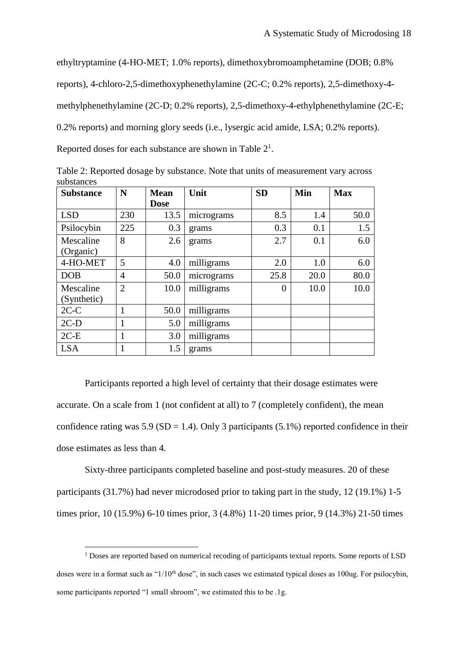ethyltryptamine (4-HO-MET; 1.0% reports), dimethoxybromoamphetamine (DOB; 0.8%

reports), 4-chloro-2,5-dimethoxyphenethylamine (2C-C; 0.2% reports), 2,5-dimethoxy-4-

methylphenethylamine (2C-D; 0.2% reports), 2,5-dimethoxy-4-ethylphenethylamine (2C-E;

0.2% reports) and morning glory seeds (i.e., lysergic acid amide, LSA; 0.2% reports).

Reported doses for each substance are shown in Table  $2<sup>1</sup>$ .

Table 2: Reported dosage by substance. Note that units of measurement vary across substances

| <b>Substance</b> | N              | <b>Mean</b> | Unit       | <b>SD</b> | Min  | <b>Max</b> |
|------------------|----------------|-------------|------------|-----------|------|------------|
|                  |                | <b>Dose</b> |            |           |      |            |
| <b>LSD</b>       | 230            | 13.5        | micrograms | 8.5       | 1.4  | 50.0       |
| Psilocybin       | 225            | 0.3         | grams      | 0.3       | 0.1  | 1.5        |
| Mescaline        | 8              | 2.6         | grams      | 2.7       | 0.1  | 6.0        |
| (Organic)        |                |             |            |           |      |            |
| 4-HO-MET         | 5              | 4.0         | milligrams | 2.0       | 1.0  | 6.0        |
| <b>DOB</b>       | 4              | 50.0        | micrograms | 25.8      | 20.0 | 80.0       |
| Mescaline        | $\overline{2}$ | 10.0        | milligrams | 0         | 10.0 | 10.0       |
| (Synthetic)      |                |             |            |           |      |            |
| $2C-C$           | 1              | 50.0        | milligrams |           |      |            |
| $2C-D$           | 1              | 5.0         | milligrams |           |      |            |
| $2C-E$           | 1              | 3.0         | milligrams |           |      |            |
| <b>LSA</b>       | 1              | 1.5         | grams      |           |      |            |

Participants reported a high level of certainty that their dosage estimates were accurate. On a scale from 1 (not confident at all) to 7 (completely confident), the mean confidence rating was  $5.9$  (SD = 1.4). Only 3 participants (5.1%) reported confidence in their dose estimates as less than 4.

Sixty-three participants completed baseline and post-study measures. 20 of these participants (31.7%) had never microdosed prior to taking part in the study, 12 (19.1%) 1-5 times prior, 10 (15.9%) 6-10 times prior, 3 (4.8%) 11-20 times prior, 9 (14.3%) 21-50 times

1

<sup>&</sup>lt;sup>1</sup> Doses are reported based on numerical recoding of participants textual reports. Some reports of LSD doses were in a format such as " $1/10<sup>th</sup>$  dose", in such cases we estimated typical doses as 100ug. For psilocybin, some participants reported "1 small shroom", we estimated this to be .1g.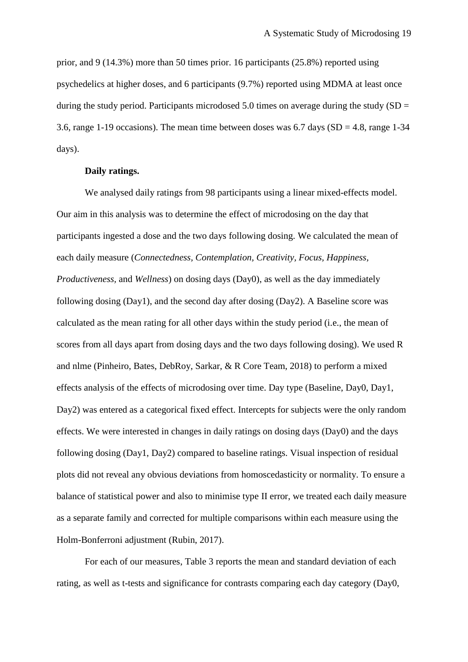prior, and 9 (14.3%) more than 50 times prior. 16 participants (25.8%) reported using psychedelics at higher doses, and 6 participants (9.7%) reported using MDMA at least once during the study period. Participants microdosed 5.0 times on average during the study  $(SD =$ 3.6, range 1-19 occasions). The mean time between doses was  $6.7$  days  $(SD = 4.8$ , range 1-34 days).

## **Daily ratings.**

We analysed daily ratings from 98 participants using a linear mixed-effects model. Our aim in this analysis was to determine the effect of microdosing on the day that participants ingested a dose and the two days following dosing. We calculated the mean of each daily measure (*Connectedness, Contemplation, Creativity, Focus, Happiness, Productiveness,* and *Wellness*) on dosing days (Day0), as well as the day immediately following dosing (Day1), and the second day after dosing (Day2). A Baseline score was calculated as the mean rating for all other days within the study period (i.e., the mean of scores from all days apart from dosing days and the two days following dosing). We used R and nlme (Pinheiro, Bates, DebRoy, Sarkar, & R Core Team, 2018) to perform a mixed effects analysis of the effects of microdosing over time. Day type (Baseline, Day0, Day1, Day2) was entered as a categorical fixed effect. Intercepts for subjects were the only random effects. We were interested in changes in daily ratings on dosing days (Day0) and the days following dosing (Day1, Day2) compared to baseline ratings. Visual inspection of residual plots did not reveal any obvious deviations from homoscedasticity or normality. To ensure a balance of statistical power and also to minimise type II error, we treated each daily measure as a separate family and corrected for multiple comparisons within each measure using the Holm-Bonferroni adjustment (Rubin, 2017).

For each of our measures, Table 3 reports the mean and standard deviation of each rating, as well as t-tests and significance for contrasts comparing each day category (Day0,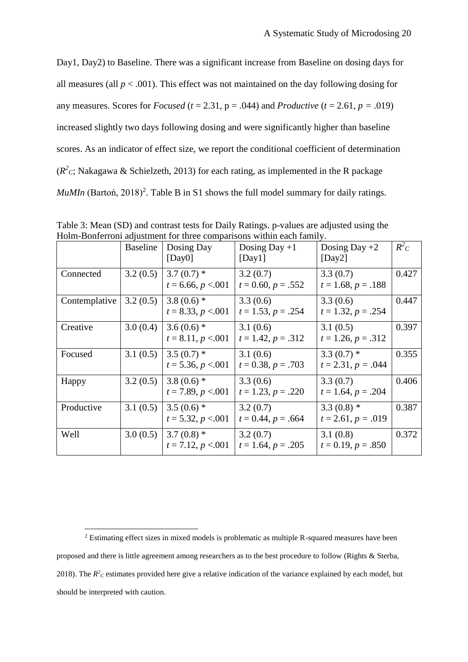Day1, Day2) to Baseline. There was a significant increase from Baseline on dosing days for all measures (all  $p < .001$ ). This effect was not maintained on the day following dosing for any measures. Scores for *Focused* ( $t = 2.31$ ,  $p = .044$ ) and *Productive* ( $t = 2.61$ ,  $p = .019$ ) increased slightly two days following dosing and were significantly higher than baseline scores. As an indicator of effect size, we report the conditional coefficient of determination  $(R<sup>2</sup>c)$ ; Nakagawa & Schielzeth, 2013) for each rating, as implemented in the R package MuMIn (Barton, 2018)<sup>2</sup>. Table B in S1 shows the full model summary for daily ratings.

|               | Baseline | Dosing Day<br>[Day0]                  | Dosing Day $+1$<br>[Day1]        | Dosing Day $+2$<br>[Day2]            | $R^2C$ |
|---------------|----------|---------------------------------------|----------------------------------|--------------------------------------|--------|
| Connected     | 3.2(0.5) | $3.7(0.7)$ *<br>$t = 6.66, p < 0.01$  | 3.2(0.7)<br>$t = 0.60, p = .552$ | 3.3(0.7)<br>$t = 1.68, p = .188$     | 0.427  |
| Contemplative | 3.2(0.5) | $3.8(0.6)$ *<br>$t = 8.33, p < 0.001$ | 3.3(0.6)<br>$t = 1.53, p = .254$ | 3.3(0.6)<br>$t = 1.32, p = .254$     | 0.447  |
| Creative      | 3.0(0.4) | $3.6(0.6)$ *<br>$t = 8.11, p < 0.001$ | 3.1(0.6)<br>$t = 1.42, p = .312$ | 3.1(0.5)<br>$t = 1.26, p = .312$     | 0.397  |
| Focused       | 3.1(0.5) | $3.5(0.7)$ *<br>$t = 5.36, p < 0.001$ | 3.1(0.6)<br>$t = 0.38, p = .703$ | $3.3(0.7)$ *<br>$t = 2.31, p = .044$ | 0.355  |
| Happy         | 3.2(0.5) | $3.8(0.6)$ *<br>$t = 7.89, p < 0.001$ | 3.3(0.6)<br>$t = 1.23, p = .220$ | 3.3(0.7)<br>$t = 1.64, p = .204$     | 0.406  |
| Productive    | 3.1(0.5) | $3.5(0.6)$ *<br>$t = 5.32, p < 0.001$ | 3.2(0.7)<br>$t = 0.44, p = .664$ | $3.3(0.8)$ *<br>$t = 2.61, p = .019$ | 0.387  |
| Well          | 3.0(0.5) | $3.7(0.8)$ *<br>$t = 7.12, p < 0.001$ | 3.2(0.7)<br>$t = 1.64, p = .205$ | 3.1(0.8)<br>$t = 0.19, p = .850$     | 0.372  |

Table 3: Mean (SD) and contrast tests for Daily Ratings. p-values are adjusted using the Holm-Bonferroni adjustment for three comparisons within each family.

<sup>2</sup> Estimating effect sizes in mixed models is problematic as multiple R-squared measures have been proposed and there is little agreement among researchers as to the best procedure to follow (Rights & Sterba, 2018). The  $R^2$ <sup>*C*</sup> estimates provided here give a relative indication of the variance explained by each model, but should be interpreted with caution.

1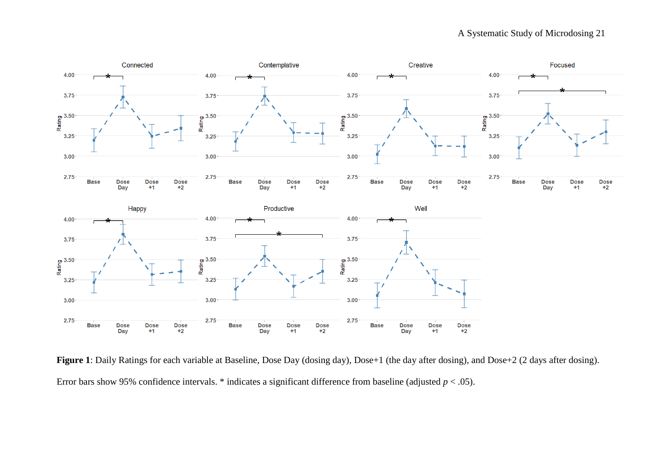

**Figure 1**: Daily Ratings for each variable at Baseline, Dose Day (dosing day), Dose+1 (the day after dosing), and Dose+2 (2 days after dosing). Error bars show 95% confidence intervals.  $*$  indicates a significant difference from baseline (adjusted  $p < .05$ ).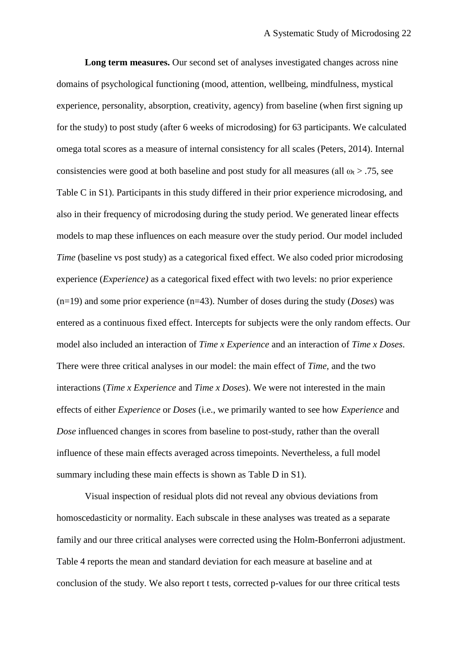**Long term measures.** Our second set of analyses investigated changes across nine domains of psychological functioning (mood, attention, wellbeing, mindfulness, mystical experience, personality, absorption, creativity, agency) from baseline (when first signing up for the study) to post study (after 6 weeks of microdosing) for 63 participants. We calculated omega total scores as a measure of internal consistency for all scales (Peters, 2014). Internal consistencies were good at both baseline and post study for all measures (all  $\omega_t$  > .75, see Table C in S1). Participants in this study differed in their prior experience microdosing, and also in their frequency of microdosing during the study period. We generated linear effects models to map these influences on each measure over the study period. Our model included *Time* (baseline vs post study) as a categorical fixed effect. We also coded prior microdosing experience (*Experience)* as a categorical fixed effect with two levels: no prior experience (n=19) and some prior experience (n=43). Number of doses during the study (*Doses*) was entered as a continuous fixed effect. Intercepts for subjects were the only random effects. Our model also included an interaction of *Time x Experience* and an interaction of *Time x Doses*. There were three critical analyses in our model: the main effect of *Time,* and the two interactions (*Time x Experience* and *Time x Doses*). We were not interested in the main effects of either *Experience* or *Doses* (i.e., we primarily wanted to see how *Experience* and *Dose* influenced changes in scores from baseline to post-study, rather than the overall influence of these main effects averaged across timepoints. Nevertheless, a full model summary including these main effects is shown as Table D in S1).

Visual inspection of residual plots did not reveal any obvious deviations from homoscedasticity or normality. Each subscale in these analyses was treated as a separate family and our three critical analyses were corrected using the Holm-Bonferroni adjustment. Table 4 reports the mean and standard deviation for each measure at baseline and at conclusion of the study. We also report t tests, corrected p-values for our three critical tests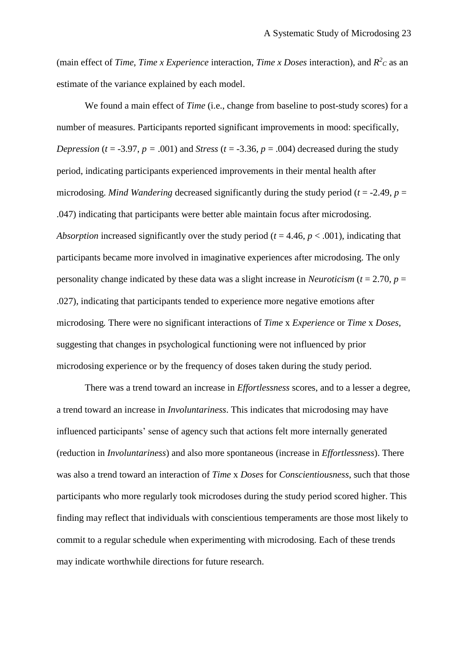(main effect of *Time, Time x Experience* interaction, *Time x Doses* interaction), and  $R^2c$  as an estimate of the variance explained by each model.

We found a main effect of *Time* (i.e., change from baseline to post-study scores) for a number of measures. Participants reported significant improvements in mood: specifically, *Depression* ( $t = -3.97$ ,  $p = .001$ ) and *Stress* ( $t = -3.36$ ,  $p = .004$ ) decreased during the study period, indicating participants experienced improvements in their mental health after microdosing. *Mind Wandering* decreased significantly during the study period ( $t = -2.49$ ,  $p =$ .047) indicating that participants were better able maintain focus after microdosing. *Absorption* increased significantly over the study period ( $t = 4.46$ ,  $p < .001$ ), indicating that participants became more involved in imaginative experiences after microdosing. The only personality change indicated by these data was a slight increase in *Neuroticism* ( $t = 2.70$ ,  $p =$ .027), indicating that participants tended to experience more negative emotions after microdosing*.* There were no significant interactions of *Time* x *Experience* or *Time* x *Doses,*  suggesting that changes in psychological functioning were not influenced by prior microdosing experience or by the frequency of doses taken during the study period.

There was a trend toward an increase in *Effortlessness* scores, and to a lesser a degree, a trend toward an increase in *Involuntariness*. This indicates that microdosing may have influenced participants' sense of agency such that actions felt more internally generated (reduction in *Involuntariness*) and also more spontaneous (increase in *Effortlessness*). There was also a trend toward an interaction of *Time* x *Doses* for *Conscientiousness*, such that those participants who more regularly took microdoses during the study period scored higher. This finding may reflect that individuals with conscientious temperaments are those most likely to commit to a regular schedule when experimenting with microdosing. Each of these trends may indicate worthwhile directions for future research.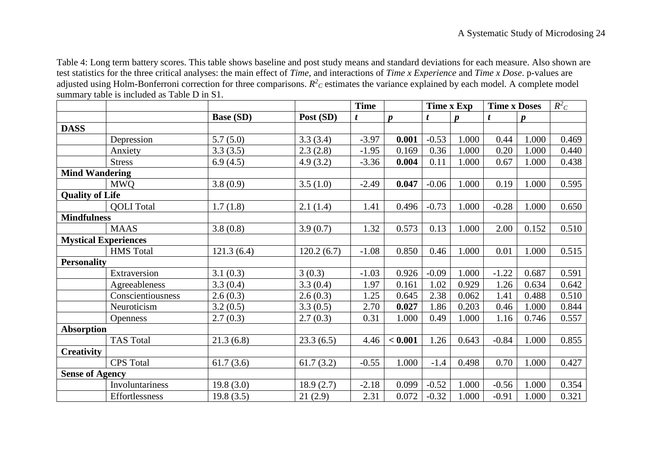Table 4: Long term battery scores. This table shows baseline and post study means and standard deviations for each measure. Also shown are test statistics for the three critical analyses: the main effect of *Time*, and interactions of *Time x Experience* and *Time x Dose*. p-values are adjusted using Holm-Bonferroni correction for three comparisons.  $R^2$ c estimates the variance explained by each model. A complete model summary table is included as Table D in S1.

|                             |                   |                  |            | <b>Time</b> |                  | Time x Exp |                  | <b>Time x Doses</b> |       | $R^2C$ |
|-----------------------------|-------------------|------------------|------------|-------------|------------------|------------|------------------|---------------------|-------|--------|
|                             |                   | <b>Base (SD)</b> | Post (SD)  | t           | $\boldsymbol{p}$ | t          | $\boldsymbol{p}$ | t                   | p     |        |
| <b>DASS</b>                 |                   |                  |            |             |                  |            |                  |                     |       |        |
|                             | Depression        | 5.7(5.0)         | 3.3(3.4)   | $-3.97$     | 0.001            | $-0.53$    | 1.000            | 0.44                | 1.000 | 0.469  |
|                             | Anxiety           | 3.3(3.5)         | 2.3(2.8)   | $-1.95$     | 0.169            | 0.36       | 1.000            | 0.20                | 1.000 | 0.440  |
|                             | <b>Stress</b>     | 6.9(4.5)         | 4.9(3.2)   | $-3.36$     | 0.004            | 0.11       | 1.000            | 0.67                | 1.000 | 0.438  |
| <b>Mind Wandering</b>       |                   |                  |            |             |                  |            |                  |                     |       |        |
|                             | <b>MWQ</b>        | 3.8(0.9)         | 3.5(1.0)   | $-2.49$     | 0.047            | $-0.06$    | 1.000            | 0.19                | 1.000 | 0.595  |
| <b>Quality of Life</b>      |                   |                  |            |             |                  |            |                  |                     |       |        |
|                             | <b>QOLI</b> Total | 1.7(1.8)         | 2.1(1.4)   | 1.41        | 0.496            | $-0.73$    | 1.000            | $-0.28$             | 1.000 | 0.650  |
| <b>Mindfulness</b>          |                   |                  |            |             |                  |            |                  |                     |       |        |
|                             | <b>MAAS</b>       | 3.8(0.8)         | 3.9(0.7)   | 1.32        | 0.573            | 0.13       | 1.000            | 2.00                | 0.152 | 0.510  |
| <b>Mystical Experiences</b> |                   |                  |            |             |                  |            |                  |                     |       |        |
|                             | <b>HMS</b> Total  | 121.3(6.4)       | 120.2(6.7) | $-1.08$     | 0.850            | 0.46       | 1.000            | 0.01                | 1.000 | 0.515  |
| <b>Personality</b>          |                   |                  |            |             |                  |            |                  |                     |       |        |
|                             | Extraversion      | 3.1(0.3)         | 3(0.3)     | $-1.03$     | 0.926            | $-0.09$    | 1.000            | $-1.22$             | 0.687 | 0.591  |
|                             | Agreeableness     | 3.3(0.4)         | 3.3(0.4)   | 1.97        | 0.161            | 1.02       | 0.929            | 1.26                | 0.634 | 0.642  |
|                             | Conscientiousness | 2.6(0.3)         | 2.6(0.3)   | 1.25        | 0.645            | 2.38       | 0.062            | 1.41                | 0.488 | 0.510  |
|                             | Neuroticism       | 3.2(0.5)         | 3.3(0.5)   | 2.70        | 0.027            | 1.86       | 0.203            | 0.46                | 1.000 | 0.844  |
|                             | <b>Openness</b>   | 2.7(0.3)         | 2.7(0.3)   | 0.31        | 1.000            | 0.49       | 1.000            | 1.16                | 0.746 | 0.557  |
| <b>Absorption</b>           |                   |                  |            |             |                  |            |                  |                     |       |        |
|                             | <b>TAS Total</b>  | 21.3(6.8)        | 23.3(6.5)  | 4.46        | < 0.001          | 1.26       | 0.643            | $-0.84$             | 1.000 | 0.855  |
| <b>Creativity</b>           |                   |                  |            |             |                  |            |                  |                     |       |        |
|                             | <b>CPS</b> Total  | 61.7(3.6)        | 61.7(3.2)  | $-0.55$     | 1.000            | $-1.4$     | 0.498            | 0.70                | 1.000 | 0.427  |
| <b>Sense of Agency</b>      |                   |                  |            |             |                  |            |                  |                     |       |        |
|                             | Involuntariness   | 19.8(3.0)        | 18.9(2.7)  | $-2.18$     | 0.099            | $-0.52$    | 1.000            | $-0.56$             | 1.000 | 0.354  |
|                             | Effortlessness    | 19.8(3.5)        | 21(2.9)    | 2.31        | 0.072            | $-0.32$    | 1.000            | $-0.91$             | 1.000 | 0.321  |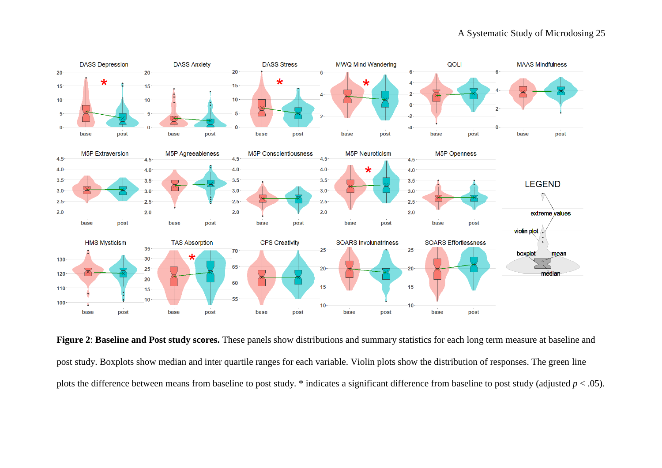

**Figure 2**: **Baseline and Post study scores.** These panels show distributions and summary statistics for each long term measure at baseline and post study. Boxplots show median and inter quartile ranges for each variable. Violin plots show the distribution of responses. The green line plots the difference between means from baseline to post study. \* indicates a significant difference from baseline to post study (adjusted *p* < .05).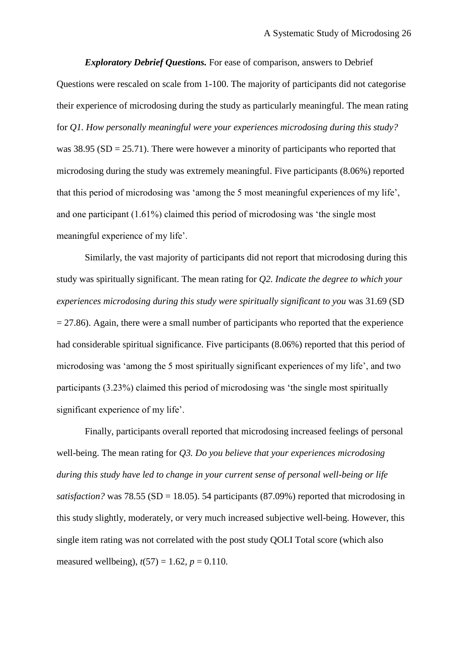*Exploratory Debrief Questions.* For ease of comparison, answers to Debrief Questions were rescaled on scale from 1-100. The majority of participants did not categorise their experience of microdosing during the study as particularly meaningful. The mean rating for *Q1. How personally meaningful were your experiences microdosing during this study?* was  $38.95$  (SD = 25.71). There were however a minority of participants who reported that microdosing during the study was extremely meaningful. Five participants (8.06%) reported that this period of microdosing was 'among the 5 most meaningful experiences of my life', and one participant (1.61%) claimed this period of microdosing was 'the single most meaningful experience of my life'.

Similarly, the vast majority of participants did not report that microdosing during this study was spiritually significant. The mean rating for *Q2. Indicate the degree to which your experiences microdosing during this study were spiritually significant to you* was 31.69 (SD  $= 27.86$ ). Again, there were a small number of participants who reported that the experience had considerable spiritual significance. Five participants (8.06%) reported that this period of microdosing was 'among the 5 most spiritually significant experiences of my life', and two participants (3.23%) claimed this period of microdosing was 'the single most spiritually significant experience of my life'.

Finally, participants overall reported that microdosing increased feelings of personal well-being. The mean rating for *Q3. Do you believe that your experiences microdosing during this study have led to change in your current sense of personal well-being or life satisfaction?* was 78.55 (SD = 18.05). 54 participants (87.09%) reported that microdosing in this study slightly, moderately, or very much increased subjective well-being. However, this single item rating was not correlated with the post study QOLI Total score (which also measured wellbeing),  $t(57) = 1.62$ ,  $p = 0.110$ .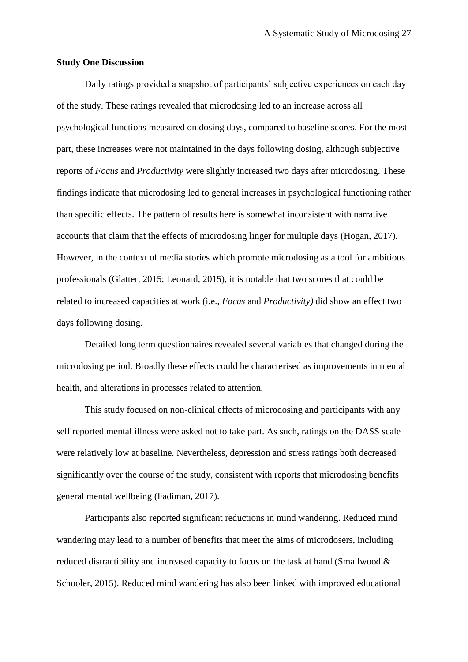## **Study One Discussion**

Daily ratings provided a snapshot of participants' subjective experiences on each day of the study. These ratings revealed that microdosing led to an increase across all psychological functions measured on dosing days, compared to baseline scores. For the most part, these increases were not maintained in the days following dosing, although subjective reports of *Focus* and *Productivity* were slightly increased two days after microdosing. These findings indicate that microdosing led to general increases in psychological functioning rather than specific effects. The pattern of results here is somewhat inconsistent with narrative accounts that claim that the effects of microdosing linger for multiple days (Hogan, 2017). However, in the context of media stories which promote microdosing as a tool for ambitious professionals (Glatter, 2015; Leonard, 2015), it is notable that two scores that could be related to increased capacities at work (i.e., *Focus* and *Productivity)* did show an effect two days following dosing.

Detailed long term questionnaires revealed several variables that changed during the microdosing period. Broadly these effects could be characterised as improvements in mental health, and alterations in processes related to attention.

This study focused on non-clinical effects of microdosing and participants with any self reported mental illness were asked not to take part. As such, ratings on the DASS scale were relatively low at baseline. Nevertheless, depression and stress ratings both decreased significantly over the course of the study, consistent with reports that microdosing benefits general mental wellbeing (Fadiman, 2017).

Participants also reported significant reductions in mind wandering. Reduced mind wandering may lead to a number of benefits that meet the aims of microdosers, including reduced distractibility and increased capacity to focus on the task at hand (Smallwood & Schooler, 2015). Reduced mind wandering has also been linked with improved educational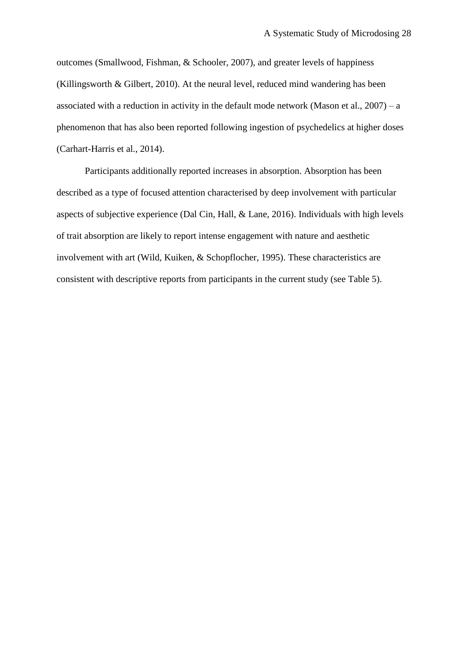outcomes (Smallwood, Fishman, & Schooler, 2007), and greater levels of happiness (Killingsworth & Gilbert, 2010). At the neural level, reduced mind wandering has been associated with a reduction in activity in the default mode network (Mason et al.,  $2007$ ) – a phenomenon that has also been reported following ingestion of psychedelics at higher doses (Carhart-Harris et al., 2014).

Participants additionally reported increases in absorption. Absorption has been described as a type of focused attention characterised by deep involvement with particular aspects of subjective experience (Dal Cin, Hall, & Lane, 2016). Individuals with high levels of trait absorption are likely to report intense engagement with nature and aesthetic involvement with art (Wild, Kuiken, & Schopflocher, 1995). These characteristics are consistent with descriptive reports from participants in the current study (see Table 5).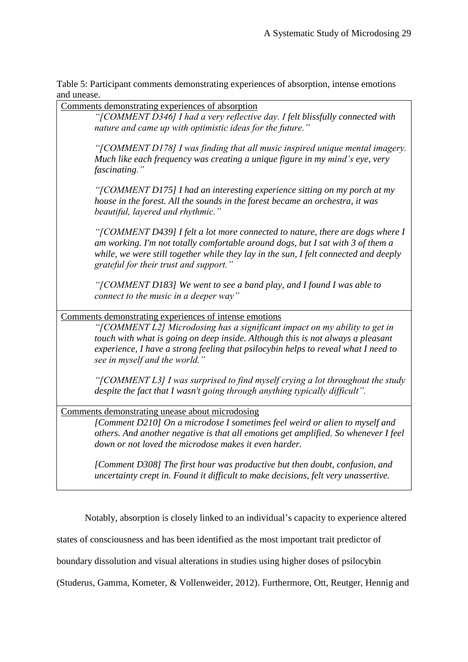Table 5: Participant comments demonstrating experiences of absorption, intense emotions and unease.

Comments demonstrating experiences of absorption *"[COMMENT D346] I had a very reflective day. I felt blissfully connected with nature and came up with optimistic ideas for the future." "[COMMENT D178] I was finding that all music inspired unique mental imagery. Much like each frequency was creating a unique figure in my mind's eye, very fascinating." "[COMMENT D175] I had an interesting experience sitting on my porch at my house in the forest. All the sounds in the forest became an orchestra, it was beautiful, layered and rhythmic." "[COMMENT D439] I felt a lot more connected to nature, there are dogs where I am working. I'm not totally comfortable around dogs, but I sat with 3 of them a while, we were still together while they lay in the sun, I felt connected and deeply grateful for their trust and support." "[COMMENT D183] We went to see a band play, and I found I was able to connect to the music in a deeper way"* Comments demonstrating experiences of intense emotions *"[COMMENT L2] Microdosing has a significant impact on my ability to get in touch with what is going on deep inside. Although this is not always a pleasant experience, I have a strong feeling that psilocybin helps to reveal what I need to see in myself and the world." "[COMMENT L3] I was surprised to find myself crying a lot throughout the study despite the fact that I wasn't going through anything typically difficult".* Comments demonstrating unease about microdosing *[Comment D210] On a microdose I sometimes feel weird or alien to myself and others. And another negative is that all emotions get amplified. So whenever I feel down or not loved the microdose makes it even harder. [Comment D308] The first hour was productive but then doubt, confusion, and uncertainty crept in. Found it difficult to make decisions, felt very unassertive.*

Notably, absorption is closely linked to an individual's capacity to experience altered

states of consciousness and has been identified as the most important trait predictor of

boundary dissolution and visual alterations in studies using higher doses of psilocybin

(Studerus, Gamma, Kometer, & Vollenweider, 2012). Furthermore, Ott, Reutger, Hennig and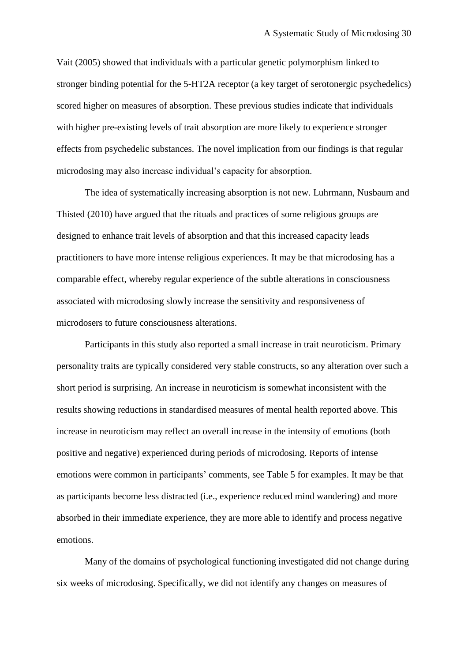Vait (2005) showed that individuals with a particular genetic polymorphism linked to stronger binding potential for the 5-HT2A receptor (a key target of serotonergic psychedelics) scored higher on measures of absorption. These previous studies indicate that individuals with higher pre-existing levels of trait absorption are more likely to experience stronger effects from psychedelic substances. The novel implication from our findings is that regular microdosing may also increase individual's capacity for absorption.

The idea of systematically increasing absorption is not new. Luhrmann, Nusbaum and Thisted (2010) have argued that the rituals and practices of some religious groups are designed to enhance trait levels of absorption and that this increased capacity leads practitioners to have more intense religious experiences. It may be that microdosing has a comparable effect, whereby regular experience of the subtle alterations in consciousness associated with microdosing slowly increase the sensitivity and responsiveness of microdosers to future consciousness alterations.

Participants in this study also reported a small increase in trait neuroticism. Primary personality traits are typically considered very stable constructs, so any alteration over such a short period is surprising. An increase in neuroticism is somewhat inconsistent with the results showing reductions in standardised measures of mental health reported above. This increase in neuroticism may reflect an overall increase in the intensity of emotions (both positive and negative) experienced during periods of microdosing. Reports of intense emotions were common in participants' comments, see Table 5 for examples. It may be that as participants become less distracted (i.e., experience reduced mind wandering) and more absorbed in their immediate experience, they are more able to identify and process negative emotions.

Many of the domains of psychological functioning investigated did not change during six weeks of microdosing. Specifically, we did not identify any changes on measures of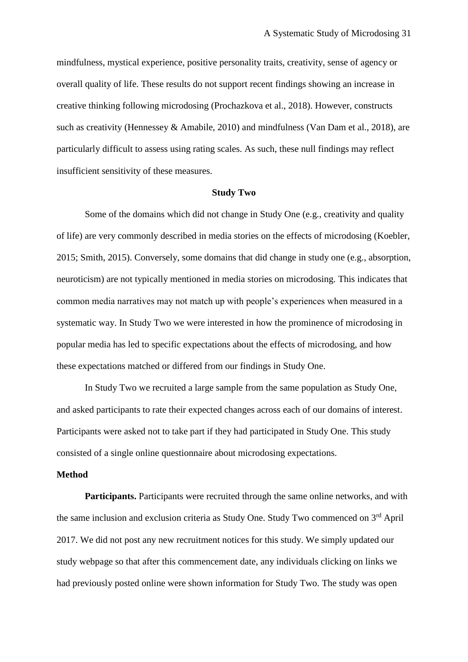mindfulness, mystical experience, positive personality traits, creativity, sense of agency or overall quality of life. These results do not support recent findings showing an increase in creative thinking following microdosing (Prochazkova et al., 2018). However, constructs such as creativity (Hennessey & Amabile, 2010) and mindfulness (Van Dam et al., 2018), are particularly difficult to assess using rating scales. As such, these null findings may reflect insufficient sensitivity of these measures.

## **Study Two**

Some of the domains which did not change in Study One (e.g., creativity and quality of life) are very commonly described in media stories on the effects of microdosing (Koebler, 2015; Smith, 2015). Conversely, some domains that did change in study one (e.g., absorption, neuroticism) are not typically mentioned in media stories on microdosing. This indicates that common media narratives may not match up with people's experiences when measured in a systematic way. In Study Two we were interested in how the prominence of microdosing in popular media has led to specific expectations about the effects of microdosing, and how these expectations matched or differed from our findings in Study One.

In Study Two we recruited a large sample from the same population as Study One, and asked participants to rate their expected changes across each of our domains of interest. Participants were asked not to take part if they had participated in Study One. This study consisted of a single online questionnaire about microdosing expectations.

## **Method**

**Participants.** Participants were recruited through the same online networks, and with the same inclusion and exclusion criteria as Study One. Study Two commenced on 3<sup>rd</sup> April 2017. We did not post any new recruitment notices for this study. We simply updated our study webpage so that after this commencement date, any individuals clicking on links we had previously posted online were shown information for Study Two. The study was open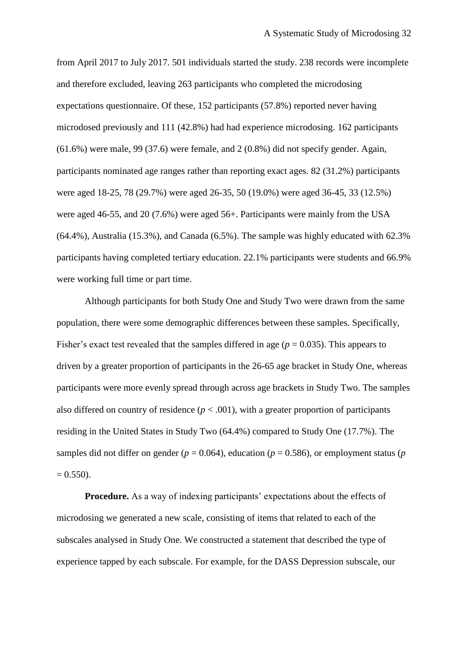from April 2017 to July 2017. 501 individuals started the study. 238 records were incomplete and therefore excluded, leaving 263 participants who completed the microdosing expectations questionnaire. Of these, 152 participants (57.8%) reported never having microdosed previously and 111 (42.8%) had had experience microdosing. 162 participants (61.6%) were male, 99 (37.6) were female, and 2 (0.8%) did not specify gender. Again, participants nominated age ranges rather than reporting exact ages. 82 (31.2%) participants were aged 18-25, 78 (29.7%) were aged 26-35, 50 (19.0%) were aged 36-45, 33 (12.5%) were aged 46-55, and 20 (7.6%) were aged 56+. Participants were mainly from the USA (64.4%), Australia (15.3%), and Canada (6.5%). The sample was highly educated with 62.3% participants having completed tertiary education. 22.1% participants were students and 66.9% were working full time or part time.

Although participants for both Study One and Study Two were drawn from the same population, there were some demographic differences between these samples. Specifically, Fisher's exact test revealed that the samples differed in age ( $p = 0.035$ ). This appears to driven by a greater proportion of participants in the 26-65 age bracket in Study One, whereas participants were more evenly spread through across age brackets in Study Two. The samples also differed on country of residence  $(p < .001)$ , with a greater proportion of participants residing in the United States in Study Two (64.4%) compared to Study One (17.7%). The samples did not differ on gender ( $p = 0.064$ ), education ( $p = 0.586$ ), or employment status ( $p = 0.586$ )  $= 0.550$ ).

**Procedure.** As a way of indexing participants' expectations about the effects of microdosing we generated a new scale, consisting of items that related to each of the subscales analysed in Study One. We constructed a statement that described the type of experience tapped by each subscale. For example, for the DASS Depression subscale, our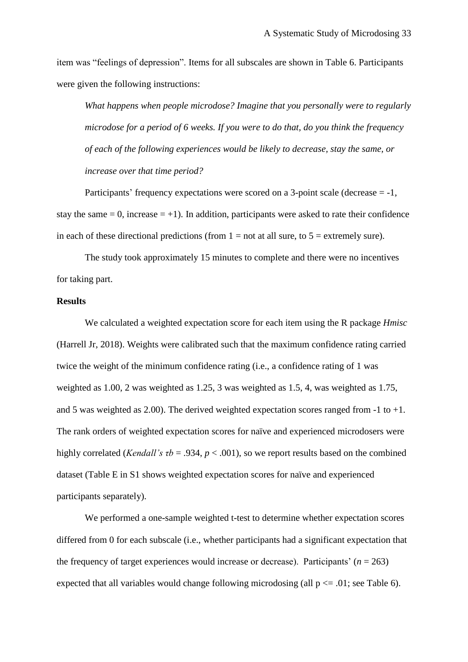item was "feelings of depression". Items for all subscales are shown in Table 6. Participants were given the following instructions:

*What happens when people microdose? Imagine that you personally were to regularly microdose for a period of 6 weeks. If you were to do that, do you think the frequency of each of the following experiences would be likely to decrease, stay the same, or increase over that time period?*

Participants' frequency expectations were scored on a 3-point scale (decrease = -1, stay the same  $= 0$ , increase  $= +1$ ). In addition, participants were asked to rate their confidence in each of these directional predictions (from  $1 = not$  at all sure, to  $5 =$  extremely sure).

The study took approximately 15 minutes to complete and there were no incentives for taking part.

# **Results**

We calculated a weighted expectation score for each item using the R package *Hmisc*  (Harrell Jr, 2018). Weights were calibrated such that the maximum confidence rating carried twice the weight of the minimum confidence rating (i.e., a confidence rating of 1 was weighted as 1.00, 2 was weighted as 1.25, 3 was weighted as 1.5, 4, was weighted as 1.75, and 5 was weighted as 2.00). The derived weighted expectation scores ranged from  $-1$  to  $+1$ . The rank orders of weighted expectation scores for naïve and experienced microdosers were highly correlated (*Kendall's τb* = .934, *p* < .001), so we report results based on the combined dataset (Table E in S1 shows weighted expectation scores for naïve and experienced participants separately).

We performed a one-sample weighted t-test to determine whether expectation scores differed from 0 for each subscale (i.e., whether participants had a significant expectation that the frequency of target experiences would increase or decrease). Participants'  $(n = 263)$ expected that all variables would change following microdosing (all  $p \le 0.01$ ; see Table 6).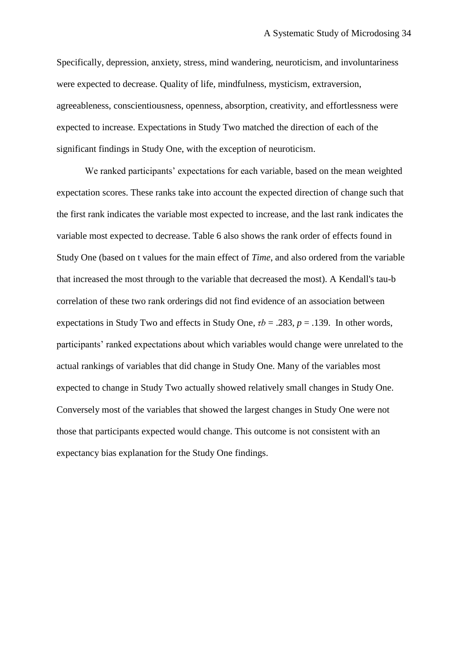Specifically, depression, anxiety, stress, mind wandering, neuroticism, and involuntariness were expected to decrease. Quality of life, mindfulness, mysticism, extraversion, agreeableness, conscientiousness, openness, absorption, creativity, and effortlessness were expected to increase. Expectations in Study Two matched the direction of each of the significant findings in Study One, with the exception of neuroticism.

We ranked participants' expectations for each variable, based on the mean weighted expectation scores. These ranks take into account the expected direction of change such that the first rank indicates the variable most expected to increase, and the last rank indicates the variable most expected to decrease. Table 6 also shows the rank order of effects found in Study One (based on t values for the main effect of *Time*, and also ordered from the variable that increased the most through to the variable that decreased the most). A Kendall's tau-b correlation of these two rank orderings did not find evidence of an association between expectations in Study Two and effects in Study One,  $\tau b = .283$ ,  $p = .139$ . In other words, participants' ranked expectations about which variables would change were unrelated to the actual rankings of variables that did change in Study One. Many of the variables most expected to change in Study Two actually showed relatively small changes in Study One. Conversely most of the variables that showed the largest changes in Study One were not those that participants expected would change. This outcome is not consistent with an expectancy bias explanation for the Study One findings.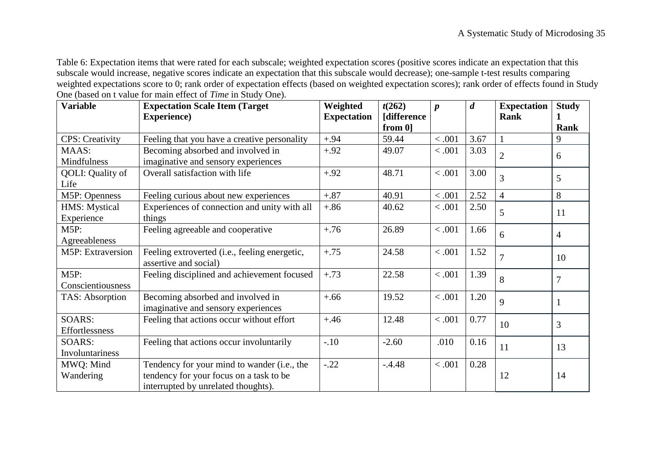Table 6: Expectation items that were rated for each subscale; weighted expectation scores (positive scores indicate an expectation that this subscale would increase, negative scores indicate an expectation that this subscale would decrease); one-sample t-test results comparing weighted expectations score to 0; rank order of expectation effects (based on weighted expectation scores); rank order of effects found in Study One (based on t value for main effect of *Time* in Study One).

| <b>Variable</b>             | <b>Expectation Scale Item (Target)</b>                                                                                        | Weighted           | t(262)                    | $\boldsymbol{p}$ | $\boldsymbol{d}$ | <b>Expectation</b> | <b>Study</b>     |
|-----------------------------|-------------------------------------------------------------------------------------------------------------------------------|--------------------|---------------------------|------------------|------------------|--------------------|------------------|
|                             | <b>Experience</b> )                                                                                                           | <b>Expectation</b> | [difference<br>from $0$ ] |                  |                  | <b>Rank</b>        | 1<br><b>Rank</b> |
| <b>CPS: Creativity</b>      | Feeling that you have a creative personality                                                                                  | $+.94$             | 59.44                     | < .001           | 3.67             | 1                  | 9                |
| MAAS:<br><b>Mindfulness</b> | Becoming absorbed and involved in<br>imaginative and sensory experiences                                                      | $+.92$             | 49.07                     | < 0.001          | 3.03             | $\overline{2}$     | 6                |
| QOLI: Quality of<br>Life    | Overall satisfaction with life                                                                                                | $+.92$             | 48.71                     | $<.001$          | 3.00             | 3                  | 5                |
| M5P: Openness               | Feeling curious about new experiences                                                                                         | $+.87$             | 40.91                     | < 0.001          | 2.52             | $\overline{4}$     | 8                |
| HMS: Mystical<br>Experience | Experiences of connection and unity with all<br>things                                                                        | $+.86$             | 40.62                     | < .001           | 2.50             | 5                  | 11               |
| M5P:<br>Agreeableness       | Feeling agreeable and cooperative                                                                                             | $+.76$             | 26.89                     | < .001           | 1.66             | 6                  | $\overline{4}$   |
| <b>M5P: Extraversion</b>    | Feeling extroverted (i.e., feeling energetic,<br>assertive and social)                                                        | $+.75$             | 24.58                     | < .001           | 1.52             | $\overline{7}$     | 10               |
| M5P:<br>Conscientiousness   | Feeling disciplined and achievement focused                                                                                   | $+.73$             | 22.58                     | < .001           | 1.39             | 8                  | $\overline{7}$   |
| TAS: Absorption             | Becoming absorbed and involved in<br>imaginative and sensory experiences                                                      | $+.66$             | 19.52                     | < .001           | 1.20             | 9                  | $\mathbf{1}$     |
| SOARS:<br>Effortlessness    | Feeling that actions occur without effort                                                                                     | $+.46$             | 12.48                     | < .001           | 0.77             | 10                 | 3                |
| SOARS:<br>Involuntariness   | Feeling that actions occur involuntarily                                                                                      | $-.10$             | $-2.60$                   | .010             | 0.16             | 11                 | 13               |
| MWQ: Mind<br>Wandering      | Tendency for your mind to wander (i.e., the<br>tendency for your focus on a task to be<br>interrupted by unrelated thoughts). | $-.22$             | $-.4.48$                  | < .001           | 0.28             | 12                 | 14               |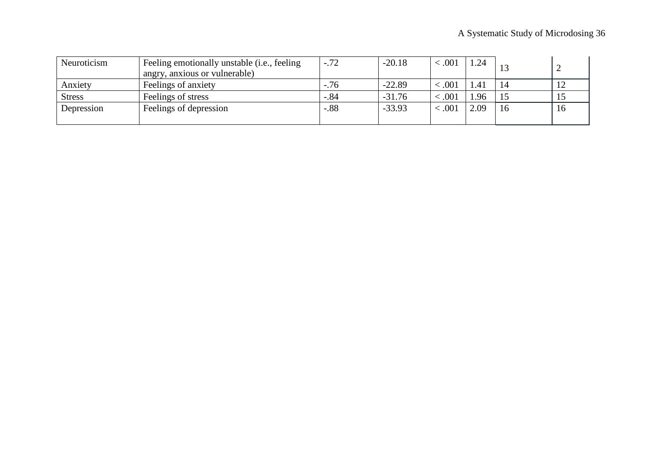| Neuroticism   | Feeling emotionally unstable (i.e., feeling<br>angry, anxious or vulnerable) | $-.72$ | $-20.18$ | < .001  | $\overline{24}$ |    |    |
|---------------|------------------------------------------------------------------------------|--------|----------|---------|-----------------|----|----|
| Anxiety       | Feelings of anxiety                                                          | $-.76$ | $-22.89$ | < 0.001 | . 41            | 14 |    |
| <b>Stress</b> | Feelings of stress                                                           | $-.84$ | $-31.76$ | < .001  | .96             |    |    |
| Depression    | Feelings of depression                                                       | $-.88$ | $-33.93$ | < 0.001 | 2.09            | 16 | 16 |
|               |                                                                              |        |          |         |                 |    |    |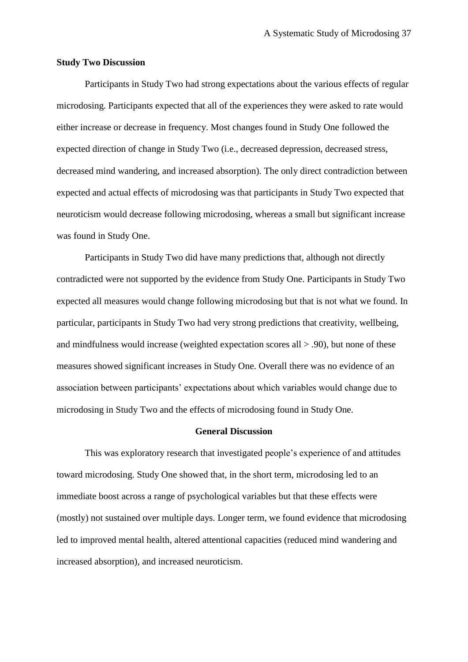#### **Study Two Discussion**

Participants in Study Two had strong expectations about the various effects of regular microdosing. Participants expected that all of the experiences they were asked to rate would either increase or decrease in frequency. Most changes found in Study One followed the expected direction of change in Study Two (i.e., decreased depression, decreased stress, decreased mind wandering, and increased absorption). The only direct contradiction between expected and actual effects of microdosing was that participants in Study Two expected that neuroticism would decrease following microdosing, whereas a small but significant increase was found in Study One.

Participants in Study Two did have many predictions that, although not directly contradicted were not supported by the evidence from Study One. Participants in Study Two expected all measures would change following microdosing but that is not what we found. In particular, participants in Study Two had very strong predictions that creativity, wellbeing, and mindfulness would increase (weighted expectation scores all > .90), but none of these measures showed significant increases in Study One. Overall there was no evidence of an association between participants' expectations about which variables would change due to microdosing in Study Two and the effects of microdosing found in Study One.

# **General Discussion**

This was exploratory research that investigated people's experience of and attitudes toward microdosing. Study One showed that, in the short term, microdosing led to an immediate boost across a range of psychological variables but that these effects were (mostly) not sustained over multiple days. Longer term, we found evidence that microdosing led to improved mental health, altered attentional capacities (reduced mind wandering and increased absorption), and increased neuroticism.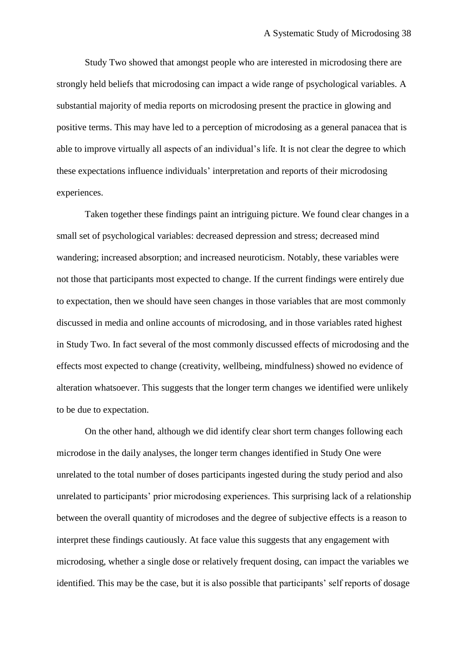Study Two showed that amongst people who are interested in microdosing there are strongly held beliefs that microdosing can impact a wide range of psychological variables. A substantial majority of media reports on microdosing present the practice in glowing and positive terms. This may have led to a perception of microdosing as a general panacea that is able to improve virtually all aspects of an individual's life. It is not clear the degree to which these expectations influence individuals' interpretation and reports of their microdosing experiences.

Taken together these findings paint an intriguing picture. We found clear changes in a small set of psychological variables: decreased depression and stress; decreased mind wandering; increased absorption; and increased neuroticism. Notably, these variables were not those that participants most expected to change. If the current findings were entirely due to expectation, then we should have seen changes in those variables that are most commonly discussed in media and online accounts of microdosing, and in those variables rated highest in Study Two. In fact several of the most commonly discussed effects of microdosing and the effects most expected to change (creativity, wellbeing, mindfulness) showed no evidence of alteration whatsoever. This suggests that the longer term changes we identified were unlikely to be due to expectation.

On the other hand, although we did identify clear short term changes following each microdose in the daily analyses, the longer term changes identified in Study One were unrelated to the total number of doses participants ingested during the study period and also unrelated to participants' prior microdosing experiences. This surprising lack of a relationship between the overall quantity of microdoses and the degree of subjective effects is a reason to interpret these findings cautiously. At face value this suggests that any engagement with microdosing, whether a single dose or relatively frequent dosing, can impact the variables we identified. This may be the case, but it is also possible that participants' self reports of dosage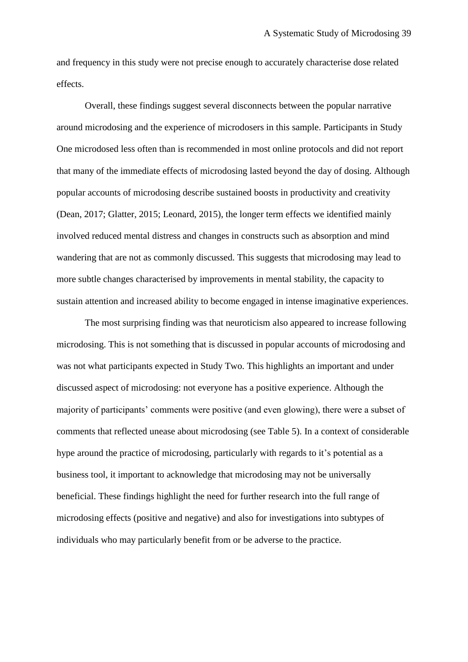and frequency in this study were not precise enough to accurately characterise dose related effects.

Overall, these findings suggest several disconnects between the popular narrative around microdosing and the experience of microdosers in this sample. Participants in Study One microdosed less often than is recommended in most online protocols and did not report that many of the immediate effects of microdosing lasted beyond the day of dosing. Although popular accounts of microdosing describe sustained boosts in productivity and creativity (Dean, 2017; Glatter, 2015; Leonard, 2015), the longer term effects we identified mainly involved reduced mental distress and changes in constructs such as absorption and mind wandering that are not as commonly discussed. This suggests that microdosing may lead to more subtle changes characterised by improvements in mental stability, the capacity to sustain attention and increased ability to become engaged in intense imaginative experiences.

The most surprising finding was that neuroticism also appeared to increase following microdosing. This is not something that is discussed in popular accounts of microdosing and was not what participants expected in Study Two. This highlights an important and under discussed aspect of microdosing: not everyone has a positive experience. Although the majority of participants' comments were positive (and even glowing), there were a subset of comments that reflected unease about microdosing (see Table 5). In a context of considerable hype around the practice of microdosing, particularly with regards to it's potential as a business tool, it important to acknowledge that microdosing may not be universally beneficial. These findings highlight the need for further research into the full range of microdosing effects (positive and negative) and also for investigations into subtypes of individuals who may particularly benefit from or be adverse to the practice.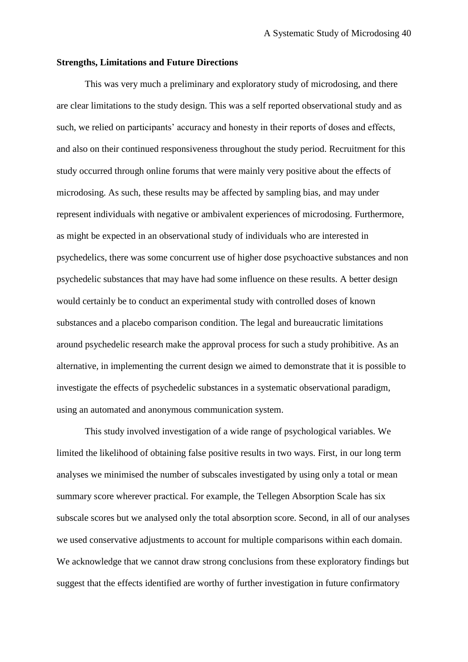### **Strengths, Limitations and Future Directions**

This was very much a preliminary and exploratory study of microdosing, and there are clear limitations to the study design. This was a self reported observational study and as such, we relied on participants' accuracy and honesty in their reports of doses and effects, and also on their continued responsiveness throughout the study period. Recruitment for this study occurred through online forums that were mainly very positive about the effects of microdosing. As such, these results may be affected by sampling bias, and may under represent individuals with negative or ambivalent experiences of microdosing. Furthermore, as might be expected in an observational study of individuals who are interested in psychedelics, there was some concurrent use of higher dose psychoactive substances and non psychedelic substances that may have had some influence on these results. A better design would certainly be to conduct an experimental study with controlled doses of known substances and a placebo comparison condition. The legal and bureaucratic limitations around psychedelic research make the approval process for such a study prohibitive. As an alternative, in implementing the current design we aimed to demonstrate that it is possible to investigate the effects of psychedelic substances in a systematic observational paradigm, using an automated and anonymous communication system.

This study involved investigation of a wide range of psychological variables. We limited the likelihood of obtaining false positive results in two ways. First, in our long term analyses we minimised the number of subscales investigated by using only a total or mean summary score wherever practical. For example, the Tellegen Absorption Scale has six subscale scores but we analysed only the total absorption score. Second, in all of our analyses we used conservative adjustments to account for multiple comparisons within each domain. We acknowledge that we cannot draw strong conclusions from these exploratory findings but suggest that the effects identified are worthy of further investigation in future confirmatory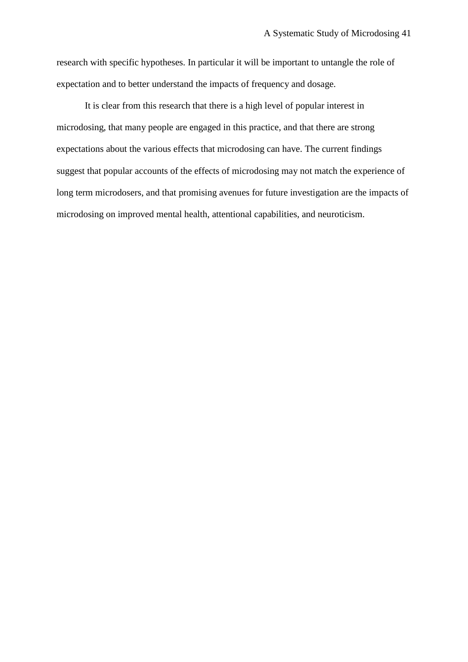research with specific hypotheses. In particular it will be important to untangle the role of expectation and to better understand the impacts of frequency and dosage.

It is clear from this research that there is a high level of popular interest in microdosing, that many people are engaged in this practice, and that there are strong expectations about the various effects that microdosing can have. The current findings suggest that popular accounts of the effects of microdosing may not match the experience of long term microdosers, and that promising avenues for future investigation are the impacts of microdosing on improved mental health, attentional capabilities, and neuroticism.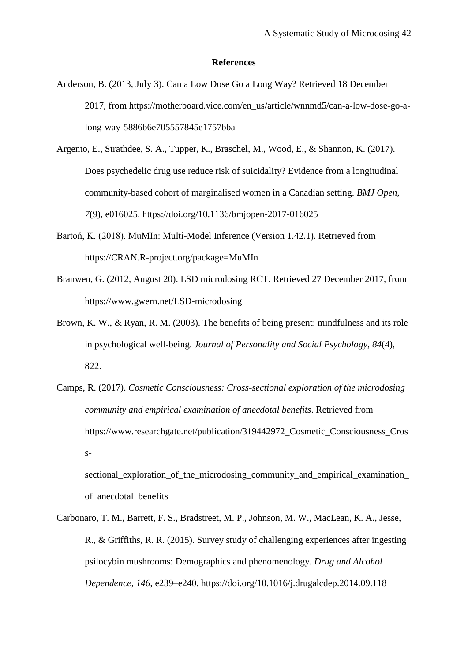#### **References**

- Anderson, B. (2013, July 3). Can a Low Dose Go a Long Way? Retrieved 18 December 2017, from https://motherboard.vice.com/en\_us/article/wnnmd5/can-a-low-dose-go-along-way-5886b6e705557845e1757bba
- Argento, E., Strathdee, S. A., Tupper, K., Braschel, M., Wood, E., & Shannon, K. (2017). Does psychedelic drug use reduce risk of suicidality? Evidence from a longitudinal community-based cohort of marginalised women in a Canadian setting. *BMJ Open*, *7*(9), e016025. https://doi.org/10.1136/bmjopen-2017-016025
- Bartoń, K. (2018). MuMIn: Multi-Model Inference (Version 1.42.1). Retrieved from https://CRAN.R-project.org/package=MuMIn
- Branwen, G. (2012, August 20). LSD microdosing RCT. Retrieved 27 December 2017, from https://www.gwern.net/LSD-microdosing
- Brown, K. W., & Ryan, R. M. (2003). The benefits of being present: mindfulness and its role in psychological well-being. *Journal of Personality and Social Psychology*, *84*(4), 822.
- Camps, R. (2017). *Cosmetic Consciousness: Cross-sectional exploration of the microdosing community and empirical examination of anecdotal benefits*. Retrieved from https://www.researchgate.net/publication/319442972\_Cosmetic\_Consciousness\_Cros s-

sectional exploration of the microdosing community and empirical examination of\_anecdotal\_benefits

Carbonaro, T. M., Barrett, F. S., Bradstreet, M. P., Johnson, M. W., MacLean, K. A., Jesse, R., & Griffiths, R. R. (2015). Survey study of challenging experiences after ingesting psilocybin mushrooms: Demographics and phenomenology. *Drug and Alcohol Dependence*, *146*, e239–e240. https://doi.org/10.1016/j.drugalcdep.2014.09.118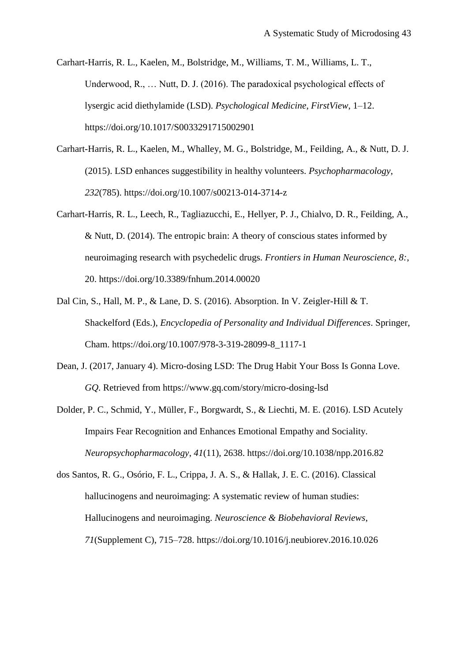Carhart-Harris, R. L., Kaelen, M., Bolstridge, M., Williams, T. M., Williams, L. T., Underwood, R., … Nutt, D. J. (2016). The paradoxical psychological effects of lysergic acid diethylamide (LSD). *Psychological Medicine*, *FirstView*, 1–12. https://doi.org/10.1017/S0033291715002901

- Carhart-Harris, R. L., Kaelen, M., Whalley, M. G., Bolstridge, M., Feilding, A., & Nutt, D. J. (2015). LSD enhances suggestibility in healthy volunteers. *Psychopharmacology*, *232*(785). https://doi.org/10.1007/s00213-014-3714-z
- Carhart-Harris, R. L., Leech, R., Tagliazucchi, E., Hellyer, P. J., Chialvo, D. R., Feilding, A., & Nutt, D. (2014). The entropic brain: A theory of conscious states informed by neuroimaging research with psychedelic drugs. *Frontiers in Human Neuroscience*, *8:*, 20. https://doi.org/10.3389/fnhum.2014.00020
- Dal Cin, S., Hall, M. P., & Lane, D. S. (2016). Absorption. In V. Zeigler-Hill & T. Shackelford (Eds.), *Encyclopedia of Personality and Individual Differences*. Springer, Cham. https://doi.org/10.1007/978-3-319-28099-8\_1117-1
- Dean, J. (2017, January 4). Micro-dosing LSD: The Drug Habit Your Boss Is Gonna Love. *GQ*. Retrieved from https://www.gq.com/story/micro-dosing-lsd
- Dolder, P. C., Schmid, Y., Müller, F., Borgwardt, S., & Liechti, M. E. (2016). LSD Acutely Impairs Fear Recognition and Enhances Emotional Empathy and Sociality. *Neuropsychopharmacology*, *41*(11), 2638. https://doi.org/10.1038/npp.2016.82
- dos Santos, R. G., Osório, F. L., Crippa, J. A. S., & Hallak, J. E. C. (2016). Classical hallucinogens and neuroimaging: A systematic review of human studies: Hallucinogens and neuroimaging. *Neuroscience & Biobehavioral Reviews*, *71*(Supplement C), 715–728. https://doi.org/10.1016/j.neubiorev.2016.10.026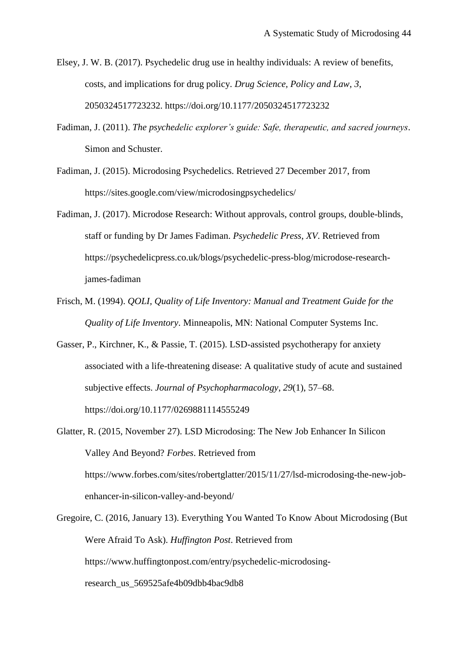Elsey, J. W. B. (2017). Psychedelic drug use in healthy individuals: A review of benefits, costs, and implications for drug policy. *Drug Science, Policy and Law*, *3*, 2050324517723232. https://doi.org/10.1177/2050324517723232

- Fadiman, J. (2011). *The psychedelic explorer's guide: Safe, therapeutic, and sacred journeys*. Simon and Schuster.
- Fadiman, J. (2015). Microdosing Psychedelics. Retrieved 27 December 2017, from https://sites.google.com/view/microdosingpsychedelics/
- Fadiman, J. (2017). Microdose Research: Without approvals, control groups, double-blinds, staff or funding by Dr James Fadiman. *Psychedelic Press*, *XV*. Retrieved from https://psychedelicpress.co.uk/blogs/psychedelic-press-blog/microdose-researchjames-fadiman
- Frisch, M. (1994). *QOLI, Quality of Life Inventory: Manual and Treatment Guide for the Quality of Life Inventory*. Minneapolis, MN: National Computer Systems Inc.
- Gasser, P., Kirchner, K., & Passie, T. (2015). LSD-assisted psychotherapy for anxiety associated with a life-threatening disease: A qualitative study of acute and sustained subjective effects. *Journal of Psychopharmacology*, *29*(1), 57–68. https://doi.org/10.1177/0269881114555249
- Glatter, R. (2015, November 27). LSD Microdosing: The New Job Enhancer In Silicon Valley And Beyond? *Forbes*. Retrieved from https://www.forbes.com/sites/robertglatter/2015/11/27/lsd-microdosing-the-new-jobenhancer-in-silicon-valley-and-beyond/
- Gregoire, C. (2016, January 13). Everything You Wanted To Know About Microdosing (But Were Afraid To Ask). *Huffington Post*. Retrieved from https://www.huffingtonpost.com/entry/psychedelic-microdosingresearch\_us\_569525afe4b09dbb4bac9db8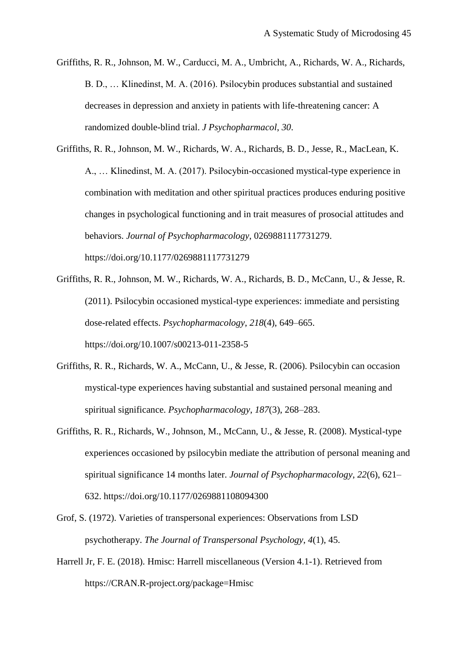- Griffiths, R. R., Johnson, M. W., Carducci, M. A., Umbricht, A., Richards, W. A., Richards, B. D., … Klinedinst, M. A. (2016). Psilocybin produces substantial and sustained decreases in depression and anxiety in patients with life-threatening cancer: A randomized double-blind trial. *J Psychopharmacol*, *30*.
- Griffiths, R. R., Johnson, M. W., Richards, W. A., Richards, B. D., Jesse, R., MacLean, K. A., … Klinedinst, M. A. (2017). Psilocybin-occasioned mystical-type experience in combination with meditation and other spiritual practices produces enduring positive changes in psychological functioning and in trait measures of prosocial attitudes and behaviors. *Journal of Psychopharmacology*, 0269881117731279. https://doi.org/10.1177/0269881117731279
- Griffiths, R. R., Johnson, M. W., Richards, W. A., Richards, B. D., McCann, U., & Jesse, R. (2011). Psilocybin occasioned mystical-type experiences: immediate and persisting dose-related effects. *Psychopharmacology*, *218*(4), 649–665. https://doi.org/10.1007/s00213-011-2358-5
- Griffiths, R. R., Richards, W. A., McCann, U., & Jesse, R. (2006). Psilocybin can occasion mystical-type experiences having substantial and sustained personal meaning and spiritual significance. *Psychopharmacology*, *187*(3), 268–283.
- Griffiths, R. R., Richards, W., Johnson, M., McCann, U., & Jesse, R. (2008). Mystical-type experiences occasioned by psilocybin mediate the attribution of personal meaning and spiritual significance 14 months later. *Journal of Psychopharmacology*, *22*(6), 621– 632. https://doi.org/10.1177/0269881108094300
- Grof, S. (1972). Varieties of transpersonal experiences: Observations from LSD psychotherapy. *The Journal of Transpersonal Psychology*, *4*(1), 45.
- Harrell Jr, F. E. (2018). Hmisc: Harrell miscellaneous (Version 4.1-1). Retrieved from https://CRAN.R-project.org/package=Hmisc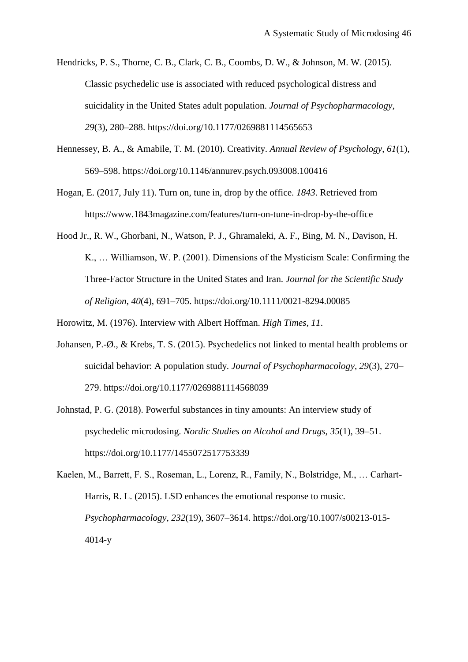- Hendricks, P. S., Thorne, C. B., Clark, C. B., Coombs, D. W., & Johnson, M. W. (2015). Classic psychedelic use is associated with reduced psychological distress and suicidality in the United States adult population. *Journal of Psychopharmacology*, *29*(3), 280–288. https://doi.org/10.1177/0269881114565653
- Hennessey, B. A., & Amabile, T. M. (2010). Creativity. *Annual Review of Psychology*, *61*(1), 569–598. https://doi.org/10.1146/annurev.psych.093008.100416
- Hogan, E. (2017, July 11). Turn on, tune in, drop by the office. *1843*. Retrieved from https://www.1843magazine.com/features/turn-on-tune-in-drop-by-the-office
- Hood Jr., R. W., Ghorbani, N., Watson, P. J., Ghramaleki, A. F., Bing, M. N., Davison, H. K., … Williamson, W. P. (2001). Dimensions of the Mysticism Scale: Confirming the Three-Factor Structure in the United States and Iran. *Journal for the Scientific Study of Religion*, *40*(4), 691–705. https://doi.org/10.1111/0021-8294.00085
- Horowitz, M. (1976). Interview with Albert Hoffman. *High Times*, *11*.
- Johansen, P.-Ø., & Krebs, T. S. (2015). Psychedelics not linked to mental health problems or suicidal behavior: A population study. *Journal of Psychopharmacology*, *29*(3), 270– 279. https://doi.org/10.1177/0269881114568039
- Johnstad, P. G. (2018). Powerful substances in tiny amounts: An interview study of psychedelic microdosing. *Nordic Studies on Alcohol and Drugs*, *35*(1), 39–51. https://doi.org/10.1177/1455072517753339
- Kaelen, M., Barrett, F. S., Roseman, L., Lorenz, R., Family, N., Bolstridge, M., … Carhart-Harris, R. L. (2015). LSD enhances the emotional response to music. *Psychopharmacology*, *232*(19), 3607–3614. https://doi.org/10.1007/s00213-015- 4014-y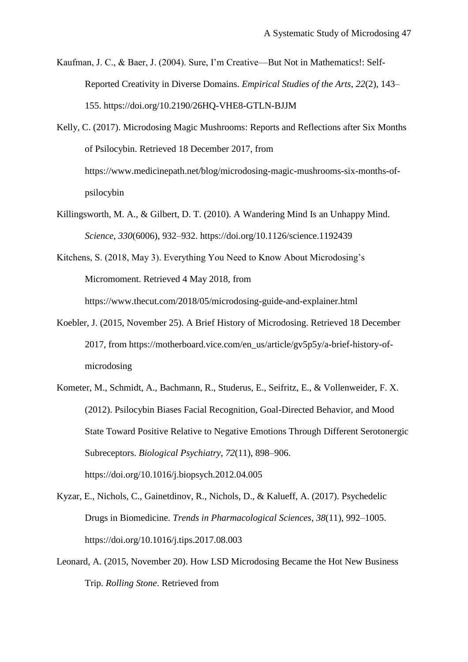Kaufman, J. C., & Baer, J. (2004). Sure, I'm Creative—But Not in Mathematics!: Self-Reported Creativity in Diverse Domains. *Empirical Studies of the Arts*, *22*(2), 143– 155. https://doi.org/10.2190/26HQ-VHE8-GTLN-BJJM

Kelly, C. (2017). Microdosing Magic Mushrooms: Reports and Reflections after Six Months of Psilocybin. Retrieved 18 December 2017, from https://www.medicinepath.net/blog/microdosing-magic-mushrooms-six-months-ofpsilocybin

Killingsworth, M. A., & Gilbert, D. T. (2010). A Wandering Mind Is an Unhappy Mind. *Science*, *330*(6006), 932–932. https://doi.org/10.1126/science.1192439

Kitchens, S. (2018, May 3). Everything You Need to Know About Microdosing's Micromoment. Retrieved 4 May 2018, from

https://www.thecut.com/2018/05/microdosing-guide-and-explainer.html

- Koebler, J. (2015, November 25). A Brief History of Microdosing. Retrieved 18 December 2017, from https://motherboard.vice.com/en\_us/article/gv5p5y/a-brief-history-ofmicrodosing
- Kometer, M., Schmidt, A., Bachmann, R., Studerus, E., Seifritz, E., & Vollenweider, F. X. (2012). Psilocybin Biases Facial Recognition, Goal-Directed Behavior, and Mood State Toward Positive Relative to Negative Emotions Through Different Serotonergic Subreceptors. *Biological Psychiatry*, *72*(11), 898–906. https://doi.org/10.1016/j.biopsych.2012.04.005
- Kyzar, E., Nichols, C., Gainetdinov, R., Nichols, D., & Kalueff, A. (2017). Psychedelic Drugs in Biomedicine. *Trends in Pharmacological Sciences*, *38*(11), 992–1005. https://doi.org/10.1016/j.tips.2017.08.003
- Leonard, A. (2015, November 20). How LSD Microdosing Became the Hot New Business Trip. *Rolling Stone*. Retrieved from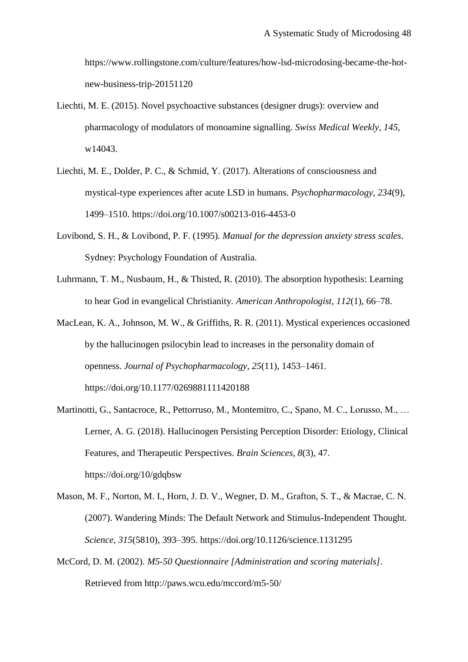https://www.rollingstone.com/culture/features/how-lsd-microdosing-became-the-hotnew-business-trip-20151120

- Liechti, M. E. (2015). Novel psychoactive substances (designer drugs): overview and pharmacology of modulators of monoamine signalling. *Swiss Medical Weekly*, *145*, w14043.
- Liechti, M. E., Dolder, P. C., & Schmid, Y. (2017). Alterations of consciousness and mystical-type experiences after acute LSD in humans. *Psychopharmacology*, *234*(9), 1499–1510. https://doi.org/10.1007/s00213-016-4453-0
- Lovibond, S. H., & Lovibond, P. F. (1995). *Manual for the depression anxiety stress scales*. Sydney: Psychology Foundation of Australia.
- Luhrmann, T. M., Nusbaum, H., & Thisted, R. (2010). The absorption hypothesis: Learning to hear God in evangelical Christianity. *American Anthropologist*, *112*(1), 66–78.
- MacLean, K. A., Johnson, M. W., & Griffiths, R. R. (2011). Mystical experiences occasioned by the hallucinogen psilocybin lead to increases in the personality domain of openness. *Journal of Psychopharmacology*, *25*(11), 1453–1461. https://doi.org/10.1177/0269881111420188
- Martinotti, G., Santacroce, R., Pettorruso, M., Montemitro, C., Spano, M. C., Lorusso, M., … Lerner, A. G. (2018). Hallucinogen Persisting Perception Disorder: Etiology, Clinical Features, and Therapeutic Perspectives. *Brain Sciences*, *8*(3), 47. https://doi.org/10/gdqbsw
- Mason, M. F., Norton, M. I., Horn, J. D. V., Wegner, D. M., Grafton, S. T., & Macrae, C. N. (2007). Wandering Minds: The Default Network and Stimulus-Independent Thought. *Science*, *315*(5810), 393–395. https://doi.org/10.1126/science.1131295
- McCord, D. M. (2002). *M5-50 Questionnaire [Administration and scoring materials]*. Retrieved from http://paws.wcu.edu/mccord/m5-50/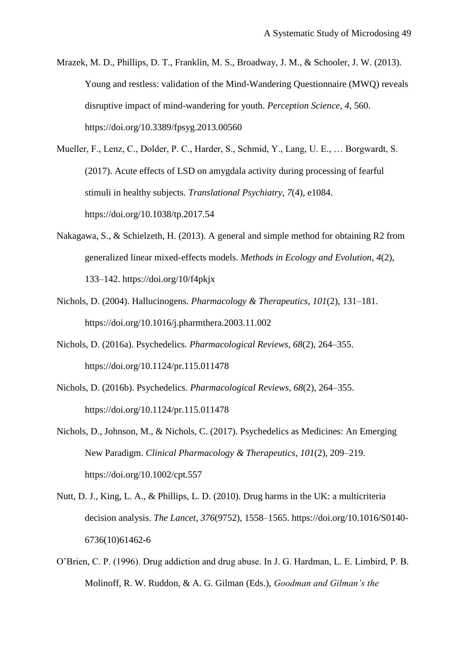Mrazek, M. D., Phillips, D. T., Franklin, M. S., Broadway, J. M., & Schooler, J. W. (2013). Young and restless: validation of the Mind-Wandering Questionnaire (MWQ) reveals disruptive impact of mind-wandering for youth. *Perception Science*, *4*, 560. https://doi.org/10.3389/fpsyg.2013.00560

Mueller, F., Lenz, C., Dolder, P. C., Harder, S., Schmid, Y., Lang, U. E., … Borgwardt, S. (2017). Acute effects of LSD on amygdala activity during processing of fearful stimuli in healthy subjects. *Translational Psychiatry*, *7*(4), e1084. https://doi.org/10.1038/tp.2017.54

- Nakagawa, S., & Schielzeth, H. (2013). A general and simple method for obtaining R2 from generalized linear mixed-effects models. *Methods in Ecology and Evolution*, *4*(2), 133–142. https://doi.org/10/f4pkjx
- Nichols, D. (2004). Hallucinogens. *Pharmacology & Therapeutics*, *101*(2), 131–181. https://doi.org/10.1016/j.pharmthera.2003.11.002
- Nichols, D. (2016a). Psychedelics. *Pharmacological Reviews*, *68*(2), 264–355. https://doi.org/10.1124/pr.115.011478
- Nichols, D. (2016b). Psychedelics. *Pharmacological Reviews*, *68*(2), 264–355. https://doi.org/10.1124/pr.115.011478
- Nichols, D., Johnson, M., & Nichols, C. (2017). Psychedelics as Medicines: An Emerging New Paradigm. *Clinical Pharmacology & Therapeutics*, *101*(2), 209–219. https://doi.org/10.1002/cpt.557
- Nutt, D. J., King, L. A., & Phillips, L. D. (2010). Drug harms in the UK: a multicriteria decision analysis. *The Lancet*, *376*(9752), 1558–1565. https://doi.org/10.1016/S0140- 6736(10)61462-6
- O'Brien, C. P. (1996). Drug addiction and drug abuse. In J. G. Hardman, L. E. Limbird, P. B. Molinoff, R. W. Ruddon, & A. G. Gilman (Eds.), *Goodman and Gilman's the*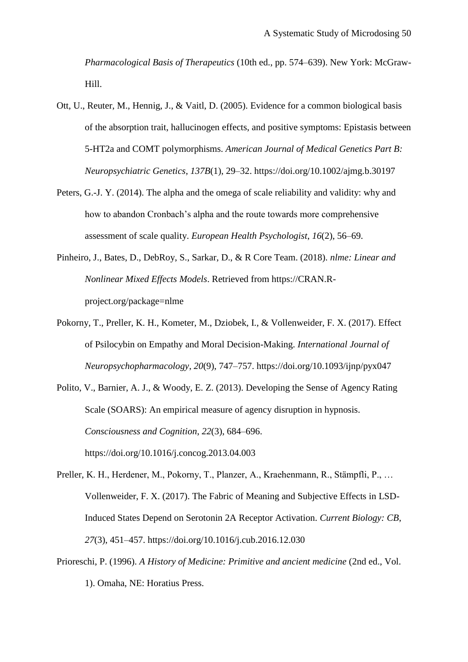*Pharmacological Basis of Therapeutics* (10th ed., pp. 574–639). New York: McGraw-Hill.

- Ott, U., Reuter, M., Hennig, J., & Vaitl, D. (2005). Evidence for a common biological basis of the absorption trait, hallucinogen effects, and positive symptoms: Epistasis between 5-HT2a and COMT polymorphisms. *American Journal of Medical Genetics Part B: Neuropsychiatric Genetics*, *137B*(1), 29–32. https://doi.org/10.1002/ajmg.b.30197
- Peters, G.-J. Y. (2014). The alpha and the omega of scale reliability and validity: why and how to abandon Cronbach's alpha and the route towards more comprehensive assessment of scale quality. *European Health Psychologist*, *16*(2), 56–69.
- Pinheiro, J., Bates, D., DebRoy, S., Sarkar, D., & R Core Team. (2018). *nlme: Linear and Nonlinear Mixed Effects Models*. Retrieved from https://CRAN.Rproject.org/package=nlme
- Pokorny, T., Preller, K. H., Kometer, M., Dziobek, I., & Vollenweider, F. X. (2017). Effect of Psilocybin on Empathy and Moral Decision-Making. *International Journal of Neuropsychopharmacology*, *20*(9), 747–757. https://doi.org/10.1093/ijnp/pyx047
- Polito, V., Barnier, A. J., & Woody, E. Z. (2013). Developing the Sense of Agency Rating Scale (SOARS): An empirical measure of agency disruption in hypnosis. *Consciousness and Cognition*, *22*(3), 684–696. https://doi.org/10.1016/j.concog.2013.04.003
- Preller, K. H., Herdener, M., Pokorny, T., Planzer, A., Kraehenmann, R., Stämpfli, P., … Vollenweider, F. X. (2017). The Fabric of Meaning and Subjective Effects in LSD-Induced States Depend on Serotonin 2A Receptor Activation. *Current Biology: CB*, *27*(3), 451–457. https://doi.org/10.1016/j.cub.2016.12.030
- Prioreschi, P. (1996). *A History of Medicine: Primitive and ancient medicine* (2nd ed., Vol. 1). Omaha, NE: Horatius Press.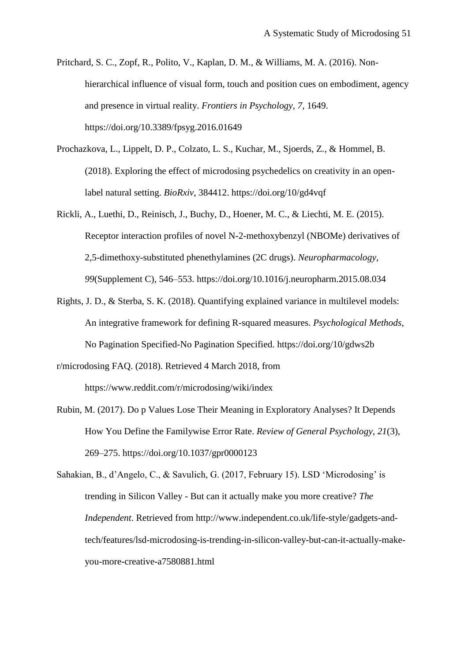- Pritchard, S. C., Zopf, R., Polito, V., Kaplan, D. M., & Williams, M. A. (2016). Nonhierarchical influence of visual form, touch and position cues on embodiment, agency and presence in virtual reality. *Frontiers in Psychology*, *7*, 1649. https://doi.org/10.3389/fpsyg.2016.01649
- Prochazkova, L., Lippelt, D. P., Colzato, L. S., Kuchar, M., Sjoerds, Z., & Hommel, B. (2018). Exploring the effect of microdosing psychedelics on creativity in an openlabel natural setting. *BioRxiv*, 384412. https://doi.org/10/gd4vqf
- Rickli, A., Luethi, D., Reinisch, J., Buchy, D., Hoener, M. C., & Liechti, M. E. (2015). Receptor interaction profiles of novel N-2-methoxybenzyl (NBOMe) derivatives of 2,5-dimethoxy-substituted phenethylamines (2C drugs). *Neuropharmacology*, *99*(Supplement C), 546–553. https://doi.org/10.1016/j.neuropharm.2015.08.034
- Rights, J. D., & Sterba, S. K. (2018). Quantifying explained variance in multilevel models: An integrative framework for defining R-squared measures. *Psychological Methods*, No Pagination Specified-No Pagination Specified. https://doi.org/10/gdws2b

r/microdosing FAQ. (2018). Retrieved 4 March 2018, from https://www.reddit.com/r/microdosing/wiki/index

- Rubin, M. (2017). Do p Values Lose Their Meaning in Exploratory Analyses? It Depends How You Define the Familywise Error Rate. *Review of General Psychology*, *21*(3), 269–275. https://doi.org/10.1037/gpr0000123
- Sahakian, B., d'Angelo, C., & Savulich, G. (2017, February 15). LSD 'Microdosing' is trending in Silicon Valley - But can it actually make you more creative? *The Independent*. Retrieved from http://www.independent.co.uk/life-style/gadgets-andtech/features/lsd-microdosing-is-trending-in-silicon-valley-but-can-it-actually-makeyou-more-creative-a7580881.html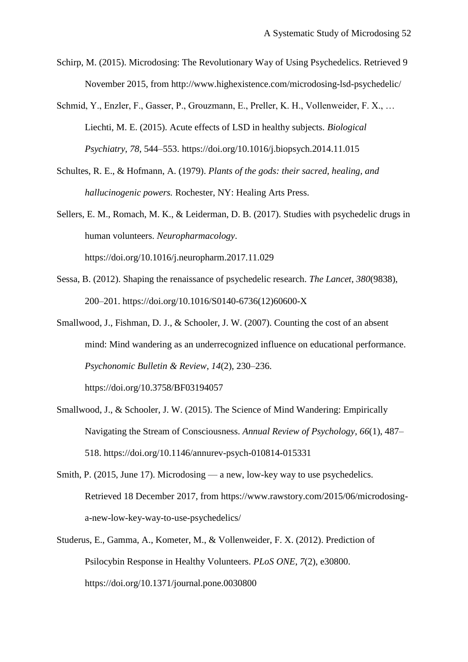Schirp, M. (2015). Microdosing: The Revolutionary Way of Using Psychedelics. Retrieved 9 November 2015, from http://www.highexistence.com/microdosing-lsd-psychedelic/

Schmid, Y., Enzler, F., Gasser, P., Grouzmann, E., Preller, K. H., Vollenweider, F. X., … Liechti, M. E. (2015). Acute effects of LSD in healthy subjects. *Biological Psychiatry*, *78*, 544–553. https://doi.org/10.1016/j.biopsych.2014.11.015

Schultes, R. E., & Hofmann, A. (1979). *Plants of the gods: their sacred, healing, and hallucinogenic powers.* Rochester, NY: Healing Arts Press.

Sellers, E. M., Romach, M. K., & Leiderman, D. B. (2017). Studies with psychedelic drugs in human volunteers. *Neuropharmacology*. https://doi.org/10.1016/j.neuropharm.2017.11.029

- Sessa, B. (2012). Shaping the renaissance of psychedelic research. *The Lancet*, *380*(9838), 200–201. https://doi.org/10.1016/S0140-6736(12)60600-X
- Smallwood, J., Fishman, D. J., & Schooler, J. W. (2007). Counting the cost of an absent mind: Mind wandering as an underrecognized influence on educational performance. *Psychonomic Bulletin & Review*, *14*(2), 230–236.

https://doi.org/10.3758/BF03194057

- Smallwood, J., & Schooler, J. W. (2015). The Science of Mind Wandering: Empirically Navigating the Stream of Consciousness. *Annual Review of Psychology*, *66*(1), 487– 518. https://doi.org/10.1146/annurev-psych-010814-015331
- Smith, P. (2015, June 17). Microdosing a new, low-key way to use psychedelics. Retrieved 18 December 2017, from https://www.rawstory.com/2015/06/microdosinga-new-low-key-way-to-use-psychedelics/
- Studerus, E., Gamma, A., Kometer, M., & Vollenweider, F. X. (2012). Prediction of Psilocybin Response in Healthy Volunteers. *PLoS ONE*, *7*(2), e30800. https://doi.org/10.1371/journal.pone.0030800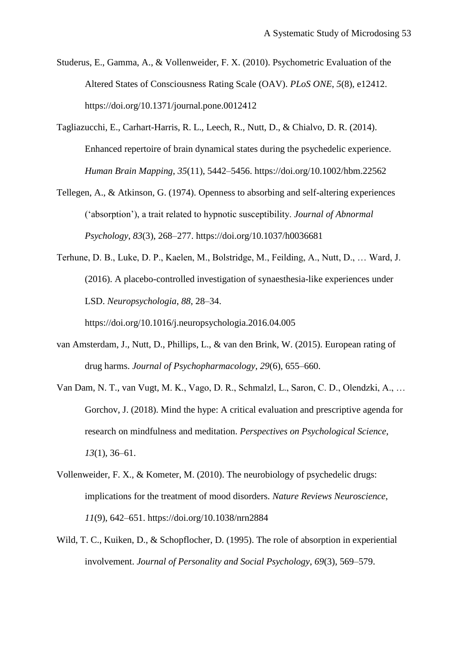- Studerus, E., Gamma, A., & Vollenweider, F. X. (2010). Psychometric Evaluation of the Altered States of Consciousness Rating Scale (OAV). *PLoS ONE*, *5*(8), e12412. https://doi.org/10.1371/journal.pone.0012412
- Tagliazucchi, E., Carhart-Harris, R. L., Leech, R., Nutt, D., & Chialvo, D. R. (2014). Enhanced repertoire of brain dynamical states during the psychedelic experience. *Human Brain Mapping*, *35*(11), 5442–5456. https://doi.org/10.1002/hbm.22562
- Tellegen, A., & Atkinson, G. (1974). Openness to absorbing and self-altering experiences ('absorption'), a trait related to hypnotic susceptibility. *Journal of Abnormal Psychology*, *83*(3), 268–277. https://doi.org/10.1037/h0036681
- Terhune, D. B., Luke, D. P., Kaelen, M., Bolstridge, M., Feilding, A., Nutt, D., … Ward, J. (2016). A placebo-controlled investigation of synaesthesia-like experiences under LSD. *Neuropsychologia*, *88*, 28–34. https://doi.org/10.1016/j.neuropsychologia.2016.04.005
- van Amsterdam, J., Nutt, D., Phillips, L., & van den Brink, W. (2015). European rating of drug harms. *Journal of Psychopharmacology*, *29*(6), 655–660.
- Van Dam, N. T., van Vugt, M. K., Vago, D. R., Schmalzl, L., Saron, C. D., Olendzki, A., … Gorchov, J. (2018). Mind the hype: A critical evaluation and prescriptive agenda for research on mindfulness and meditation. *Perspectives on Psychological Science*, *13*(1), 36–61.
- Vollenweider, F. X., & Kometer, M. (2010). The neurobiology of psychedelic drugs: implications for the treatment of mood disorders. *Nature Reviews Neuroscience*, *11*(9), 642–651. https://doi.org/10.1038/nrn2884
- Wild, T. C., Kuiken, D., & Schopflocher, D. (1995). The role of absorption in experiential involvement. *Journal of Personality and Social Psychology*, *69*(3), 569–579.